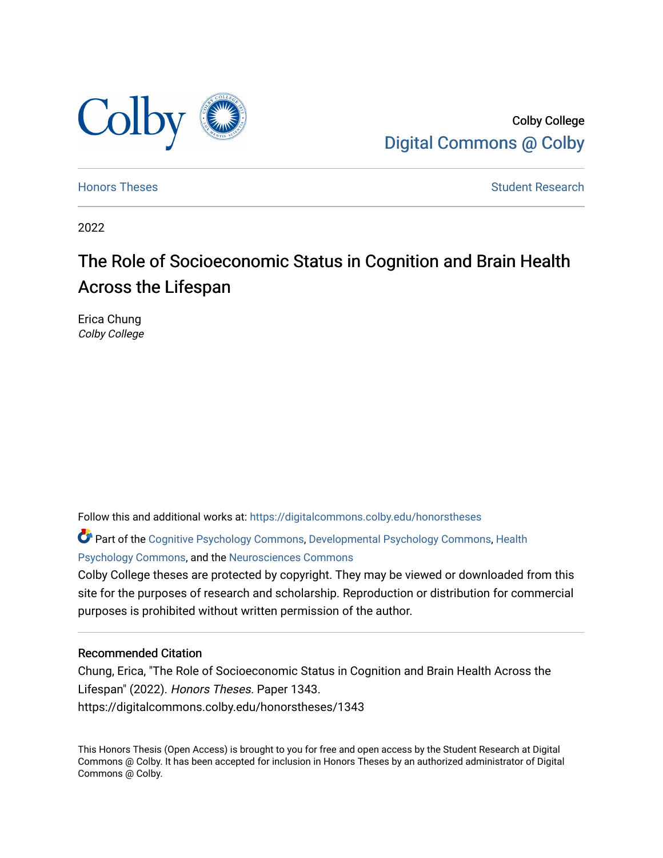

Colby College [Digital Commons @ Colby](https://digitalcommons.colby.edu/) 

[Honors Theses](https://digitalcommons.colby.edu/honorstheses) [Student Research](https://digitalcommons.colby.edu/student_research) and the Student Research Student Research

2022

# The Role of Socioeconomic Status in Cognition and Brain Health Across the Lifespan

Erica Chung Colby College

Follow this and additional works at: [https://digitalcommons.colby.edu/honorstheses](https://digitalcommons.colby.edu/honorstheses?utm_source=digitalcommons.colby.edu%2Fhonorstheses%2F1343&utm_medium=PDF&utm_campaign=PDFCoverPages) 

Part of the [Cognitive Psychology Commons,](https://network.bepress.com/hgg/discipline/408?utm_source=digitalcommons.colby.edu%2Fhonorstheses%2F1343&utm_medium=PDF&utm_campaign=PDFCoverPages) [Developmental Psychology Commons,](https://network.bepress.com/hgg/discipline/410?utm_source=digitalcommons.colby.edu%2Fhonorstheses%2F1343&utm_medium=PDF&utm_campaign=PDFCoverPages) [Health](https://network.bepress.com/hgg/discipline/411?utm_source=digitalcommons.colby.edu%2Fhonorstheses%2F1343&utm_medium=PDF&utm_campaign=PDFCoverPages) [Psychology Commons,](https://network.bepress.com/hgg/discipline/411?utm_source=digitalcommons.colby.edu%2Fhonorstheses%2F1343&utm_medium=PDF&utm_campaign=PDFCoverPages) and the [Neurosciences Commons](https://network.bepress.com/hgg/discipline/1010?utm_source=digitalcommons.colby.edu%2Fhonorstheses%2F1343&utm_medium=PDF&utm_campaign=PDFCoverPages) 

Colby College theses are protected by copyright. They may be viewed or downloaded from this site for the purposes of research and scholarship. Reproduction or distribution for commercial purposes is prohibited without written permission of the author.

# Recommended Citation

Chung, Erica, "The Role of Socioeconomic Status in Cognition and Brain Health Across the Lifespan" (2022). Honors Theses. Paper 1343. https://digitalcommons.colby.edu/honorstheses/1343

This Honors Thesis (Open Access) is brought to you for free and open access by the Student Research at Digital Commons @ Colby. It has been accepted for inclusion in Honors Theses by an authorized administrator of Digital Commons @ Colby.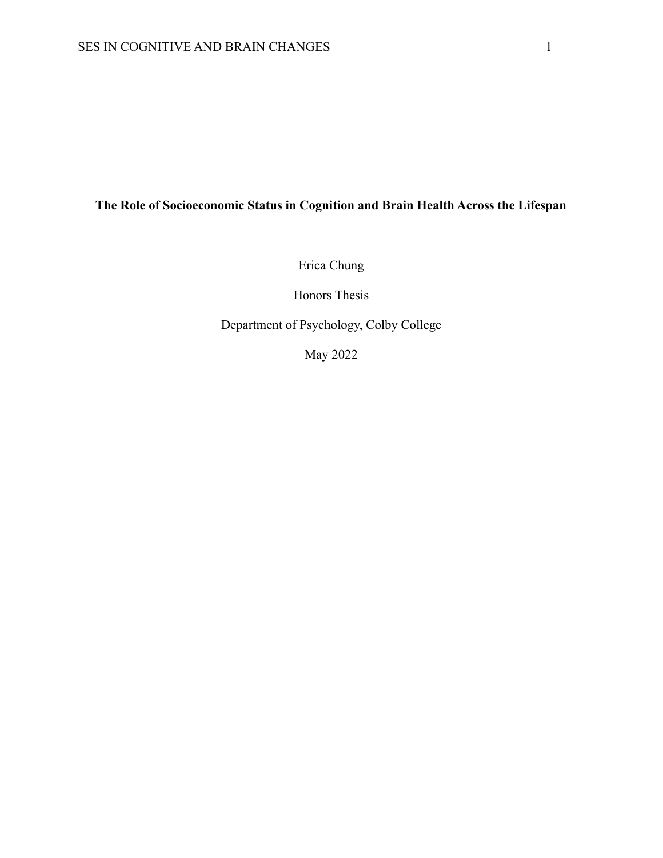# **The Role of Socioeconomic Status in Cognition and Brain Health Across the Lifespan**

Erica Chung

Honors Thesis

Department of Psychology, Colby College

May 2022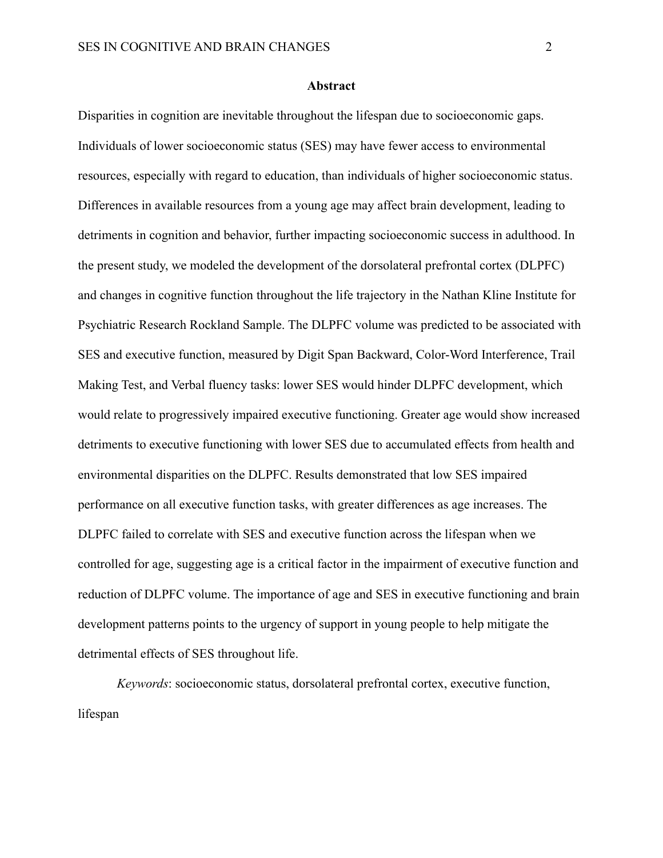#### **Abstract**

Disparities in cognition are inevitable throughout the lifespan due to socioeconomic gaps. Individuals of lower socioeconomic status (SES) may have fewer access to environmental resources, especially with regard to education, than individuals of higher socioeconomic status. Differences in available resources from a young age may affect brain development, leading to detriments in cognition and behavior, further impacting socioeconomic success in adulthood. In the present study, we modeled the development of the dorsolateral prefrontal cortex (DLPFC) and changes in cognitive function throughout the life trajectory in the Nathan Kline Institute for Psychiatric Research Rockland Sample. The DLPFC volume was predicted to be associated with SES and executive function, measured by Digit Span Backward, Color-Word Interference, Trail Making Test, and Verbal fluency tasks: lower SES would hinder DLPFC development, which would relate to progressively impaired executive functioning. Greater age would show increased detriments to executive functioning with lower SES due to accumulated effects from health and environmental disparities on the DLPFC. Results demonstrated that low SES impaired performance on all executive function tasks, with greater differences as age increases. The DLPFC failed to correlate with SES and executive function across the lifespan when we controlled for age, suggesting age is a critical factor in the impairment of executive function and reduction of DLPFC volume. The importance of age and SES in executive functioning and brain development patterns points to the urgency of support in young people to help mitigate the detrimental effects of SES throughout life.

*Keywords*: socioeconomic status, dorsolateral prefrontal cortex, executive function, lifespan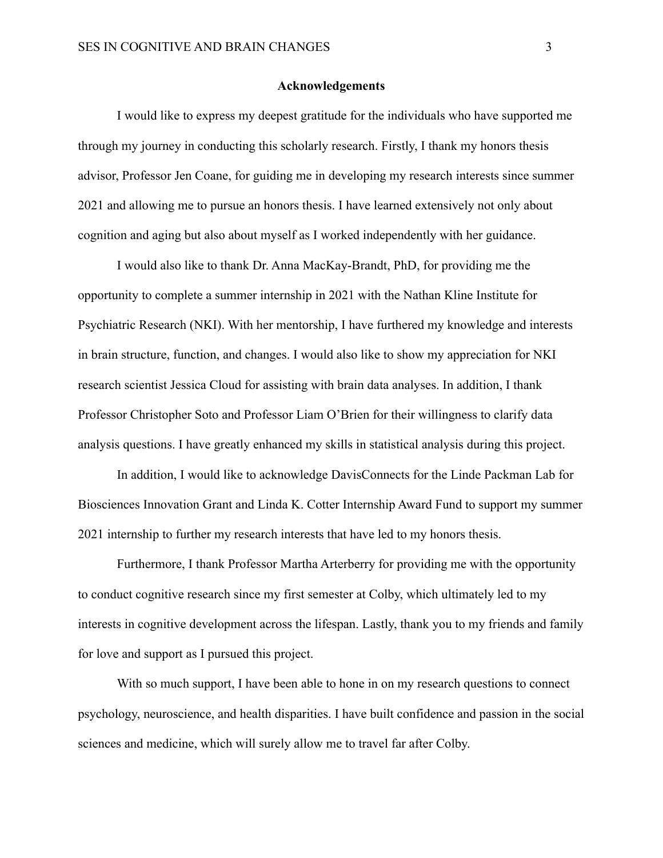#### **Acknowledgements**

I would like to express my deepest gratitude for the individuals who have supported me through my journey in conducting this scholarly research. Firstly, I thank my honors thesis advisor, Professor Jen Coane, for guiding me in developing my research interests since summer 2021 and allowing me to pursue an honors thesis. I have learned extensively not only about cognition and aging but also about myself as I worked independently with her guidance.

I would also like to thank Dr. Anna MacKay-Brandt, PhD, for providing me the opportunity to complete a summer internship in 2021 with the Nathan Kline Institute for Psychiatric Research (NKI). With her mentorship, I have furthered my knowledge and interests in brain structure, function, and changes. I would also like to show my appreciation for NKI research scientist Jessica Cloud for assisting with brain data analyses. In addition, I thank Professor Christopher Soto and Professor Liam O'Brien for their willingness to clarify data analysis questions. I have greatly enhanced my skills in statistical analysis during this project.

In addition, I would like to acknowledge DavisConnects for the Linde Packman Lab for Biosciences Innovation Grant and Linda K. Cotter Internship Award Fund to support my summer 2021 internship to further my research interests that have led to my honors thesis.

Furthermore, I thank Professor Martha Arterberry for providing me with the opportunity to conduct cognitive research since my first semester at Colby, which ultimately led to my interests in cognitive development across the lifespan. Lastly, thank you to my friends and family for love and support as I pursued this project.

With so much support, I have been able to hone in on my research questions to connect psychology, neuroscience, and health disparities. I have built confidence and passion in the social sciences and medicine, which will surely allow me to travel far after Colby.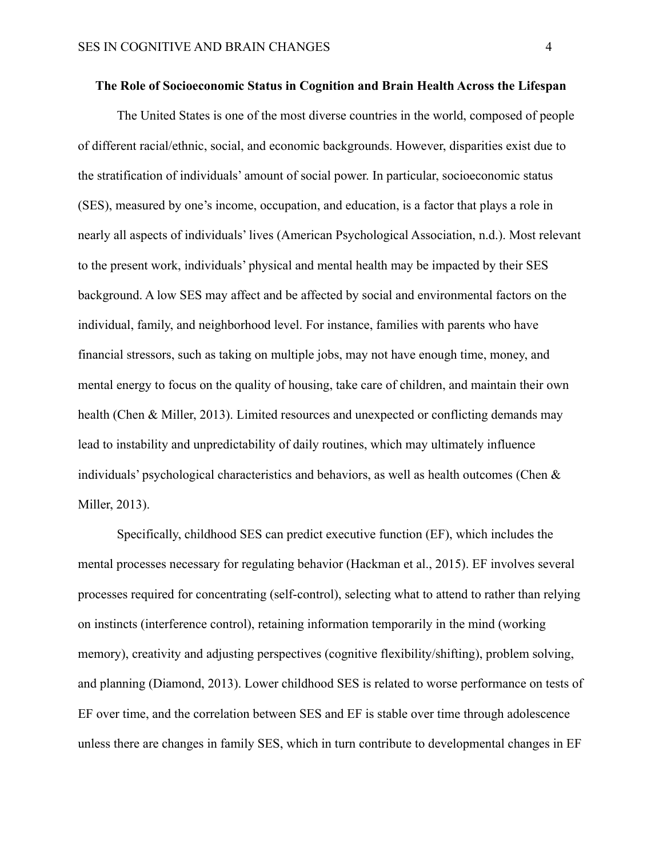#### **The Role of Socioeconomic Status in Cognition and Brain Health Across the Lifespan**

The United States is one of the most diverse countries in the world, composed of people of different racial/ethnic, social, and economic backgrounds. However, disparities exist due to the stratification of individuals' amount of social power. In particular, socioeconomic status (SES), measured by one's income, occupation, and education, is a factor that plays a role in nearly all aspects of individuals' lives (American Psychological Association, n.d.). Most relevant to the present work, individuals' physical and mental health may be impacted by their SES background. A low SES may affect and be affected by social and environmental factors on the individual, family, and neighborhood level. For instance, families with parents who have financial stressors, such as taking on multiple jobs, may not have enough time, money, and mental energy to focus on the quality of housing, take care of children, and maintain their own health (Chen & Miller, 2013). Limited resources and unexpected or conflicting demands may lead to instability and unpredictability of daily routines, which may ultimately influence individuals' psychological characteristics and behaviors, as well as health outcomes (Chen & Miller, 2013).

Specifically, childhood SES can predict executive function (EF), which includes the mental processes necessary for regulating behavior (Hackman et al., 2015). EF involves several processes required for concentrating (self-control), selecting what to attend to rather than relying on instincts (interference control), retaining information temporarily in the mind (working memory), creativity and adjusting perspectives (cognitive flexibility/shifting), problem solving, and planning (Diamond, 2013). Lower childhood SES is related to worse performance on tests of EF over time, and the correlation between SES and EF is stable over time through adolescence unless there are changes in family SES, which in turn contribute to developmental changes in EF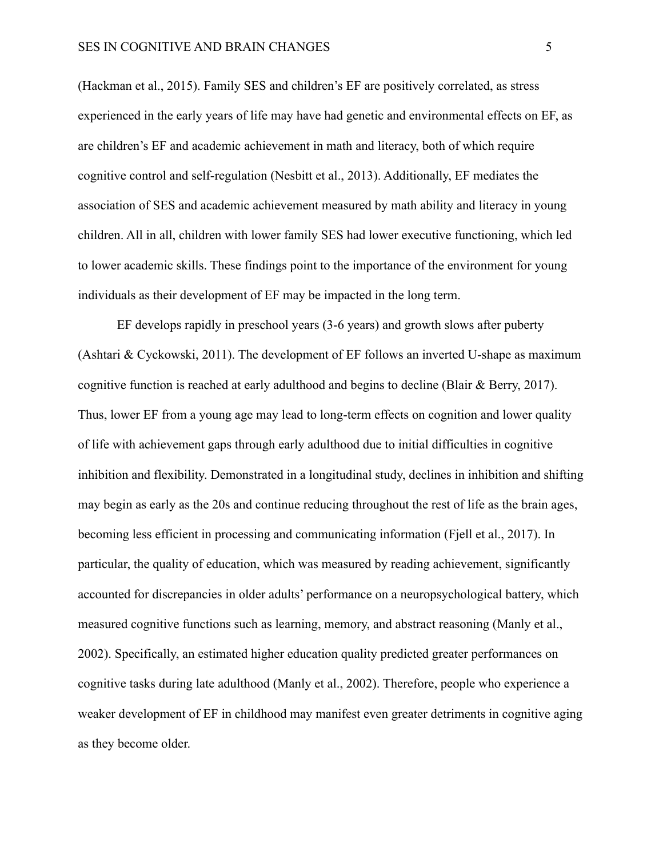(Hackman et al., 2015). Family SES and children's EF are positively correlated, as stress experienced in the early years of life may have had genetic and environmental effects on EF, as are children's EF and academic achievement in math and literacy, both of which require cognitive control and self-regulation (Nesbitt et al., 2013). Additionally, EF mediates the association of SES and academic achievement measured by math ability and literacy in young children. All in all, children with lower family SES had lower executive functioning, which led to lower academic skills. These findings point to the importance of the environment for young individuals as their development of EF may be impacted in the long term.

EF develops rapidly in preschool years (3-6 years) and growth slows after puberty (Ashtari & Cyckowski, 2011). The development of EF follows an inverted U-shape as maximum cognitive function is reached at early adulthood and begins to decline (Blair & Berry, 2017). Thus, lower EF from a young age may lead to long-term effects on cognition and lower quality of life with achievement gaps through early adulthood due to initial difficulties in cognitive inhibition and flexibility. Demonstrated in a longitudinal study, declines in inhibition and shifting may begin as early as the 20s and continue reducing throughout the rest of life as the brain ages, becoming less efficient in processing and communicating information (Fjell et al., 2017). In particular, the quality of education, which was measured by reading achievement, significantly accounted for discrepancies in older adults' performance on a neuropsychological battery, which measured cognitive functions such as learning, memory, and abstract reasoning (Manly et al., 2002). Specifically, an estimated higher education quality predicted greater performances on cognitive tasks during late adulthood (Manly et al., 2002). Therefore, people who experience a weaker development of EF in childhood may manifest even greater detriments in cognitive aging as they become older.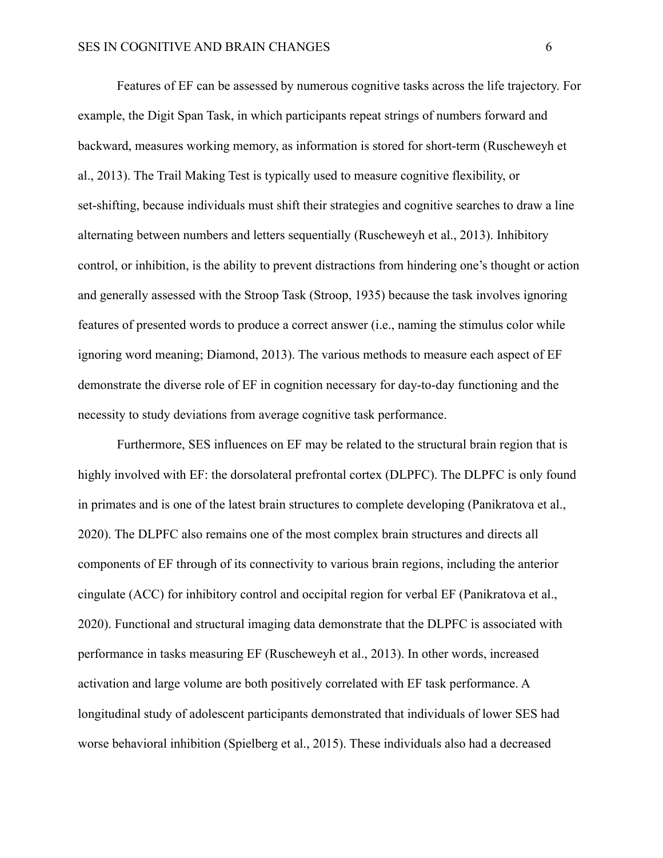Features of EF can be assessed by numerous cognitive tasks across the life trajectory. For example, the Digit Span Task, in which participants repeat strings of numbers forward and backward, measures working memory, as information is stored for short-term (Ruscheweyh et al., 2013). The Trail Making Test is typically used to measure cognitive flexibility, or set-shifting, because individuals must shift their strategies and cognitive searches to draw a line alternating between numbers and letters sequentially (Ruscheweyh et al., 2013). Inhibitory control, or inhibition, is the ability to prevent distractions from hindering one's thought or action and generally assessed with the Stroop Task (Stroop, 1935) because the task involves ignoring features of presented words to produce a correct answer (i.e., naming the stimulus color while ignoring word meaning; Diamond, 2013). The various methods to measure each aspect of EF demonstrate the diverse role of EF in cognition necessary for day-to-day functioning and the necessity to study deviations from average cognitive task performance.

Furthermore, SES influences on EF may be related to the structural brain region that is highly involved with EF: the dorsolateral prefrontal cortex (DLPFC). The DLPFC is only found in primates and is one of the latest brain structures to complete developing (Panikratova et al., 2020). The DLPFC also remains one of the most complex brain structures and directs all components of EF through of its connectivity to various brain regions, including the anterior cingulate (ACC) for inhibitory control and occipital region for verbal EF (Panikratova et al., 2020). Functional and structural imaging data demonstrate that the DLPFC is associated with performance in tasks measuring EF (Ruscheweyh et al., 2013). In other words, increased activation and large volume are both positively correlated with EF task performance. A longitudinal study of adolescent participants demonstrated that individuals of lower SES had worse behavioral inhibition (Spielberg et al., 2015). These individuals also had a decreased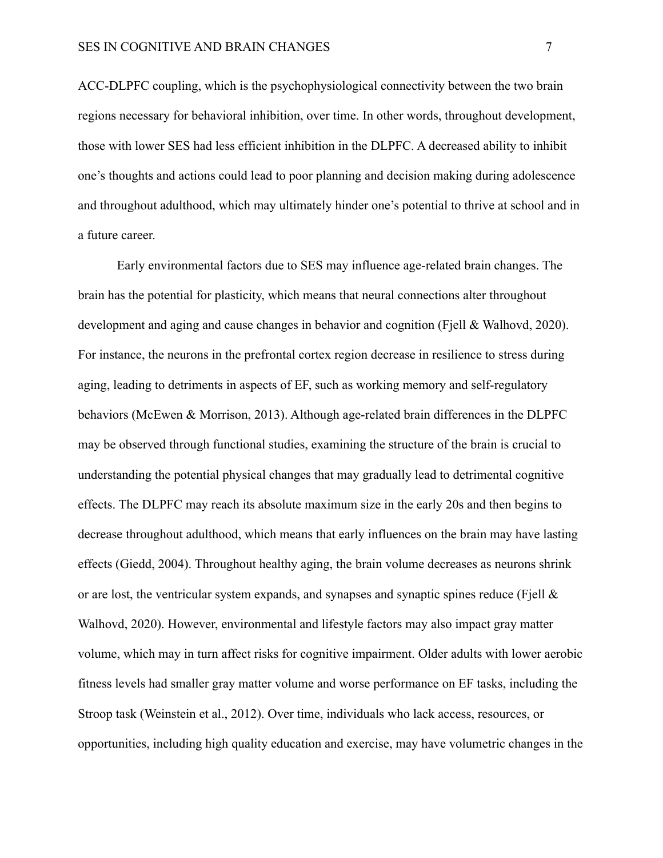ACC-DLPFC coupling, which is the psychophysiological connectivity between the two brain regions necessary for behavioral inhibition, over time. In other words, throughout development, those with lower SES had less efficient inhibition in the DLPFC. A decreased ability to inhibit one's thoughts and actions could lead to poor planning and decision making during adolescence and throughout adulthood, which may ultimately hinder one's potential to thrive at school and in a future career.

Early environmental factors due to SES may influence age-related brain changes. The brain has the potential for plasticity, which means that neural connections alter throughout development and aging and cause changes in behavior and cognition (Fiell & Walhovd, 2020). For instance, the neurons in the prefrontal cortex region decrease in resilience to stress during aging, leading to detriments in aspects of EF, such as working memory and self-regulatory behaviors (McEwen & Morrison, 2013). Although age-related brain differences in the DLPFC may be observed through functional studies, examining the structure of the brain is crucial to understanding the potential physical changes that may gradually lead to detrimental cognitive effects. The DLPFC may reach its absolute maximum size in the early 20s and then begins to decrease throughout adulthood, which means that early influences on the brain may have lasting effects (Giedd, 2004). Throughout healthy aging, the brain volume decreases as neurons shrink or are lost, the ventricular system expands, and synapses and synaptic spines reduce (Fiell  $\&$ Walhovd, 2020). However, environmental and lifestyle factors may also impact gray matter volume, which may in turn affect risks for cognitive impairment. Older adults with lower aerobic fitness levels had smaller gray matter volume and worse performance on EF tasks, including the Stroop task (Weinstein et al., 2012). Over time, individuals who lack access, resources, or opportunities, including high quality education and exercise, may have volumetric changes in the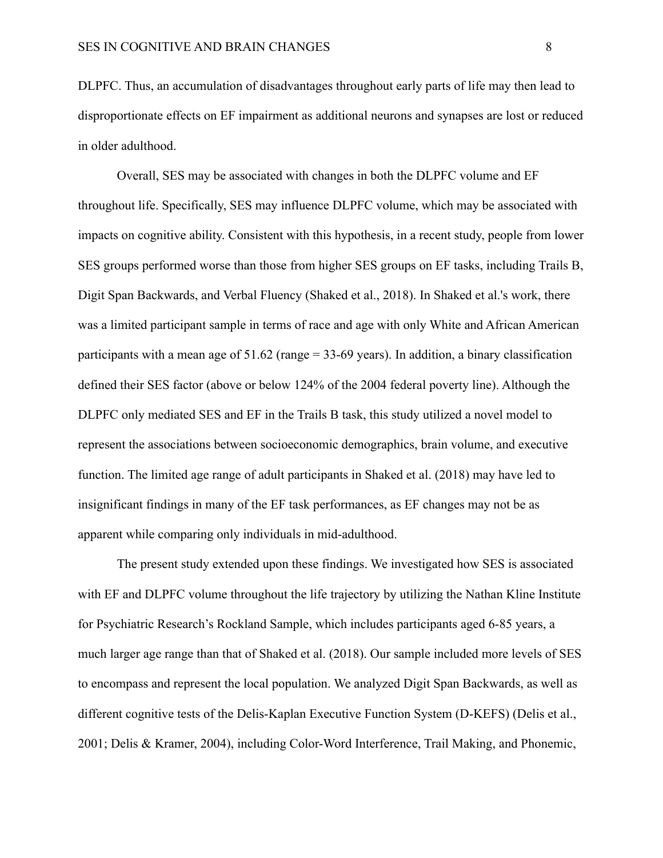DLPFC. Thus, an accumulation of disadvantages throughout early parts of life may then lead to disproportionate effects on EF impairment as additional neurons and synapses are lost or reduced in older adulthood.

Overall, SES may be associated with changes in both the DLPFC volume and EF throughout life. Specifically, SES may influence DLPFC volume, which may be associated with impacts on cognitive ability. Consistent with this hypothesis, in a recent study, people from lower SES groups performed worse than those from higher SES groups on EF tasks, including Trails B, Digit Span Backwards, and Verbal Fluency (Shaked et al., 2018). In Shaked et al.'s work, there was a limited participant sample in terms of race and age with only White and African American participants with a mean age of 51.62 (range = 33-69 years). In addition, a binary classification defined their SES factor (above or below 124% of the 2004 federal poverty line). Although the DLPFC only mediated SES and EF in the Trails B task, this study utilized a novel model to represent the associations between socioeconomic demographics, brain volume, and executive function. The limited age range of adult participants in Shaked et al. (2018) may have led to insignificant findings in many of the EF task performances, as EF changes may not be as apparent while comparing only individuals in mid-adulthood.

The present study extended upon these findings. We investigated how SES is associated with EF and DLPFC volume throughout the life trajectory by utilizing the Nathan Kline Institute for Psychiatric Research's Rockland Sample, which includes participants aged 6-85 years, a much larger age range than that of Shaked et al. (2018). Our sample included more levels of SES to encompass and represent the local population. We analyzed Digit Span Backwards, as well as different cognitive tests of the Delis-Kaplan Executive Function System (D-KEFS) (Delis et al., 2001; Delis & Kramer, 2004), including Color-Word Interference, Trail Making, and Phonemic,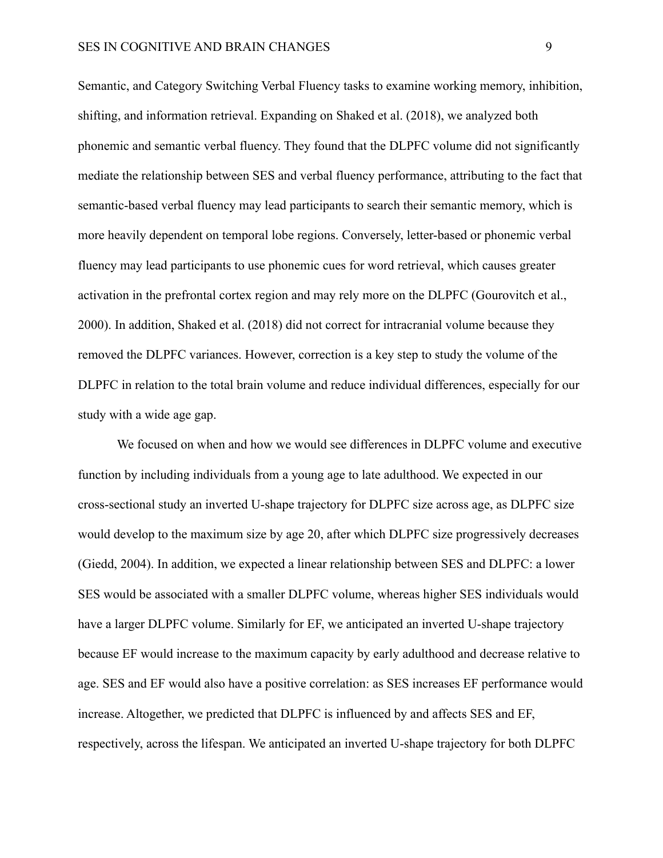Semantic, and Category Switching Verbal Fluency tasks to examine working memory, inhibition, shifting, and information retrieval. Expanding on Shaked et al. (2018), we analyzed both phonemic and semantic verbal fluency. They found that the DLPFC volume did not significantly mediate the relationship between SES and verbal fluency performance, attributing to the fact that semantic-based verbal fluency may lead participants to search their semantic memory, which is more heavily dependent on temporal lobe regions. Conversely, letter-based or phonemic verbal fluency may lead participants to use phonemic cues for word retrieval, which causes greater activation in the prefrontal cortex region and may rely more on the DLPFC (Gourovitch et al., 2000). In addition, Shaked et al. (2018) did not correct for intracranial volume because they removed the DLPFC variances. However, correction is a key step to study the volume of the DLPFC in relation to the total brain volume and reduce individual differences, especially for our study with a wide age gap.

We focused on when and how we would see differences in DLPFC volume and executive function by including individuals from a young age to late adulthood. We expected in our cross-sectional study an inverted U-shape trajectory for DLPFC size across age, as DLPFC size would develop to the maximum size by age 20, after which DLPFC size progressively decreases (Giedd, 2004). In addition, we expected a linear relationship between SES and DLPFC: a lower SES would be associated with a smaller DLPFC volume, whereas higher SES individuals would have a larger DLPFC volume. Similarly for EF, we anticipated an inverted U-shape trajectory because EF would increase to the maximum capacity by early adulthood and decrease relative to age. SES and EF would also have a positive correlation: as SES increases EF performance would increase. Altogether, we predicted that DLPFC is influenced by and affects SES and EF, respectively, across the lifespan. We anticipated an inverted U-shape trajectory for both DLPFC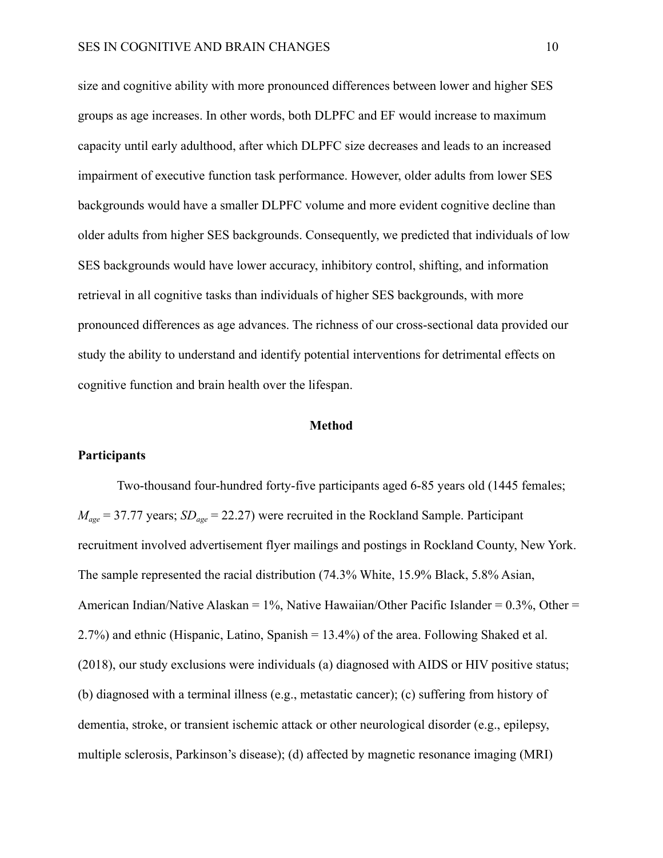size and cognitive ability with more pronounced differences between lower and higher SES groups as age increases. In other words, both DLPFC and EF would increase to maximum capacity until early adulthood, after which DLPFC size decreases and leads to an increased impairment of executive function task performance. However, older adults from lower SES backgrounds would have a smaller DLPFC volume and more evident cognitive decline than older adults from higher SES backgrounds. Consequently, we predicted that individuals of low SES backgrounds would have lower accuracy, inhibitory control, shifting, and information retrieval in all cognitive tasks than individuals of higher SES backgrounds, with more pronounced differences as age advances. The richness of our cross-sectional data provided our study the ability to understand and identify potential interventions for detrimental effects on cognitive function and brain health over the lifespan.

#### **Method**

#### **Participants**

Two-thousand four-hundred forty-five participants aged 6-85 years old (1445 females;  $M_{\text{age}} = 37.77$  years;  $SD_{\text{age}} = 22.27$ ) were recruited in the Rockland Sample. Participant recruitment involved advertisement flyer mailings and postings in Rockland County, New York. The sample represented the racial distribution (74.3% White, 15.9% Black, 5.8% Asian, American Indian/Native Alaskan =  $1\%$ , Native Hawaiian/Other Pacific Islander =  $0.3\%$ , Other = 2.7%) and ethnic (Hispanic, Latino, Spanish = 13.4%) of the area. Following Shaked et al. (2018), our study exclusions were individuals (a) diagnosed with AIDS or HIV positive status; (b) diagnosed with a terminal illness (e.g., metastatic cancer); (c) suffering from history of dementia, stroke, or transient ischemic attack or other neurological disorder (e.g., epilepsy, multiple sclerosis, Parkinson's disease); (d) affected by magnetic resonance imaging (MRI)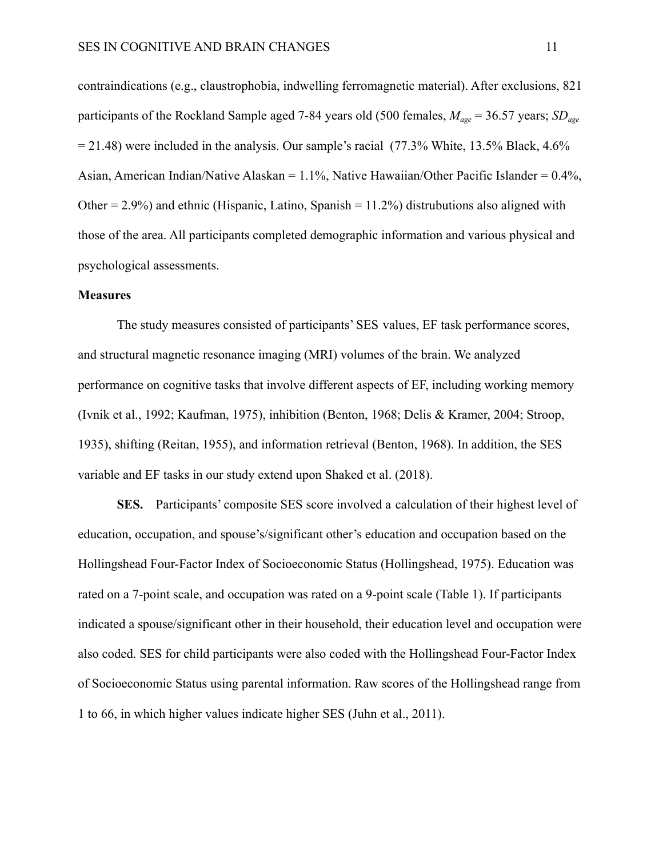contraindications (e.g., claustrophobia, indwelling ferromagnetic material). After exclusions, 821 participants of the Rockland Sample aged 7-84 years old (500 females, *Mage* = 36.57 years; *SDage*  $= 21.48$ ) were included in the analysis. Our sample's racial (77.3% White, 13.5% Black, 4.6%) Asian, American Indian/Native Alaskan = 1.1%, Native Hawaiian/Other Pacific Islander = 0.4%, Other =  $2.9\%$ ) and ethnic (Hispanic, Latino, Spanish =  $11.2\%$ ) distrubutions also aligned with those of the area. All participants completed demographic information and various physical and psychological assessments.

#### **Measures**

The study measures consisted of participants' SES values, EF task performance scores, and structural magnetic resonance imaging (MRI) volumes of the brain. We analyzed performance on cognitive tasks that involve different aspects of EF, including working memory (Ivnik et al., 1992; Kaufman, 1975), inhibition (Benton, 1968; Delis & Kramer, 2004; Stroop, 1935), shifting (Reitan, 1955), and information retrieval (Benton, 1968). In addition, the SES variable and EF tasks in our study extend upon Shaked et al. (2018).

**SES.** Participants' composite SES score involved a calculation of their highest level of education, occupation, and spouse's/significant other's education and occupation based on the Hollingshead Four-Factor Index of Socioeconomic Status (Hollingshead, 1975). Education was rated on a 7-point scale, and occupation was rated on a 9-point scale (Table 1). If participants indicated a spouse/significant other in their household, their education level and occupation were also coded. SES for child participants were also coded with the Hollingshead Four-Factor Index of Socioeconomic Status using parental information. Raw scores of the Hollingshead range from 1 to 66, in which higher values indicate higher SES (Juhn et al., 2011).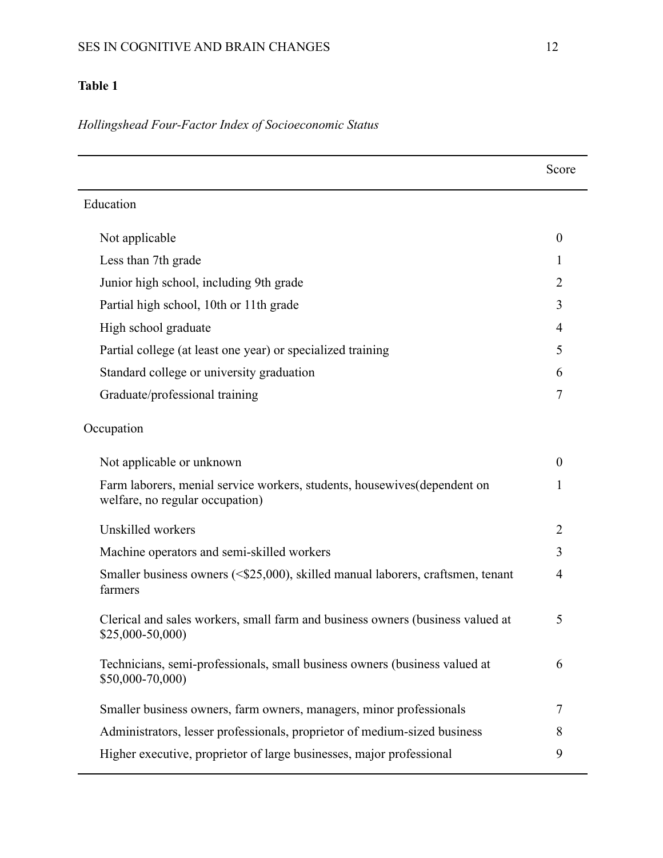# **Table 1**

*Hollingshead Four-Factor Index of Socioeconomic Status*

|                                                                                                              | Score            |
|--------------------------------------------------------------------------------------------------------------|------------------|
| Education                                                                                                    |                  |
| Not applicable                                                                                               | $\boldsymbol{0}$ |
| Less than 7th grade                                                                                          | $\mathbf{I}$     |
| Junior high school, including 9th grade                                                                      | $\overline{2}$   |
| Partial high school, 10th or 11th grade                                                                      | 3                |
| High school graduate                                                                                         | 4                |
| Partial college (at least one year) or specialized training                                                  | 5                |
| Standard college or university graduation                                                                    | 6                |
| Graduate/professional training                                                                               | 7                |
| Occupation                                                                                                   |                  |
| Not applicable or unknown                                                                                    | $\boldsymbol{0}$ |
| Farm laborers, menial service workers, students, housewives (dependent on<br>welfare, no regular occupation) | 1                |
| Unskilled workers                                                                                            | $\overline{2}$   |
| Machine operators and semi-skilled workers                                                                   | 3                |
| Smaller business owners (<\$25,000), skilled manual laborers, craftsmen, tenant<br>farmers                   | 4                |
| Clerical and sales workers, small farm and business owners (business valued at<br>\$25,000-50,000)           | 5                |
| Technicians, semi-professionals, small business owners (business valued at<br>\$50,000-70,000)               | 6                |
| Smaller business owners, farm owners, managers, minor professionals                                          | 7                |
| Administrators, lesser professionals, proprietor of medium-sized business                                    | 8                |
| Higher executive, proprietor of large businesses, major professional                                         | 9                |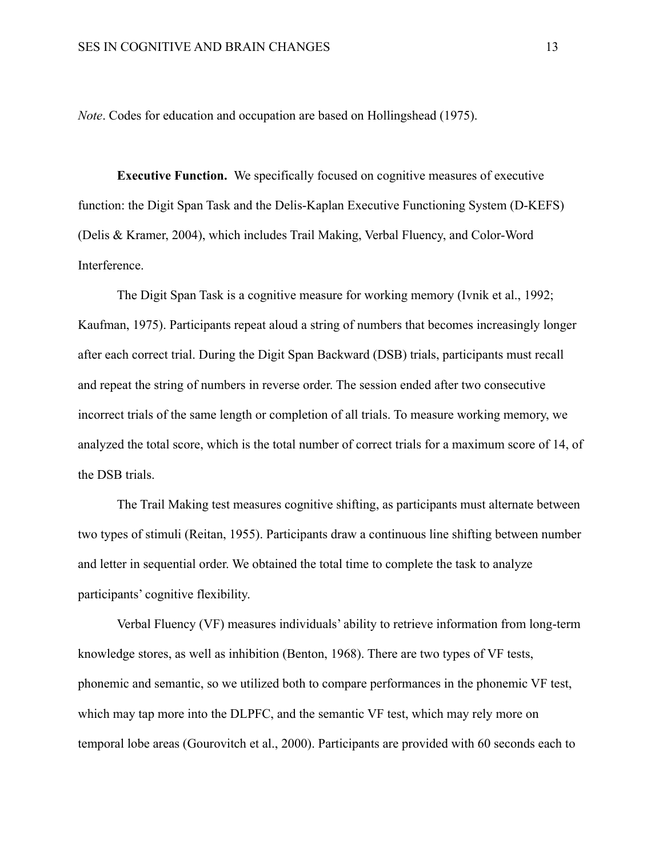*Note*. Codes for education and occupation are based on Hollingshead (1975).

**Executive Function.** We specifically focused on cognitive measures of executive function: the Digit Span Task and the Delis-Kaplan Executive Functioning System (D-KEFS) (Delis & Kramer, 2004), which includes Trail Making, Verbal Fluency, and Color-Word Interference.

The Digit Span Task is a cognitive measure for working memory (Ivnik et al., 1992; Kaufman, 1975). Participants repeat aloud a string of numbers that becomes increasingly longer after each correct trial. During the Digit Span Backward (DSB) trials, participants must recall and repeat the string of numbers in reverse order. The session ended after two consecutive incorrect trials of the same length or completion of all trials. To measure working memory, we analyzed the total score, which is the total number of correct trials for a maximum score of 14, of the DSB trials.

The Trail Making test measures cognitive shifting, as participants must alternate between two types of stimuli (Reitan, 1955). Participants draw a continuous line shifting between number and letter in sequential order. We obtained the total time to complete the task to analyze participants' cognitive flexibility.

Verbal Fluency (VF) measures individuals' ability to retrieve information from long-term knowledge stores, as well as inhibition (Benton, 1968). There are two types of VF tests, phonemic and semantic, so we utilized both to compare performances in the phonemic VF test, which may tap more into the DLPFC, and the semantic VF test, which may rely more on temporal lobe areas (Gourovitch et al., 2000). Participants are provided with 60 seconds each to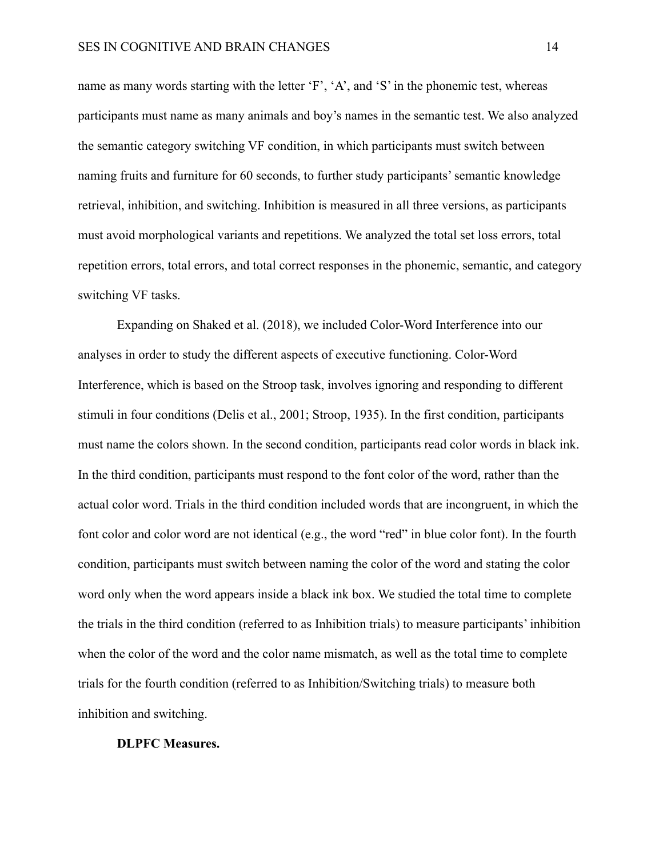name as many words starting with the letter 'F', 'A', and 'S' in the phonemic test, whereas participants must name as many animals and boy's names in the semantic test. We also analyzed the semantic category switching VF condition, in which participants must switch between naming fruits and furniture for 60 seconds, to further study participants' semantic knowledge retrieval, inhibition, and switching. Inhibition is measured in all three versions, as participants must avoid morphological variants and repetitions. We analyzed the total set loss errors, total repetition errors, total errors, and total correct responses in the phonemic, semantic, and category switching VF tasks.

Expanding on Shaked et al. (2018), we included Color-Word Interference into our analyses in order to study the different aspects of executive functioning. Color-Word Interference, which is based on the Stroop task, involves ignoring and responding to different stimuli in four conditions (Delis et al., 2001; Stroop, 1935). In the first condition, participants must name the colors shown. In the second condition, participants read color words in black ink. In the third condition, participants must respond to the font color of the word, rather than the actual color word. Trials in the third condition included words that are incongruent, in which the font color and color word are not identical (e.g., the word "red" in blue color font). In the fourth condition, participants must switch between naming the color of the word and stating the color word only when the word appears inside a black ink box. We studied the total time to complete the trials in the third condition (referred to as Inhibition trials) to measure participants' inhibition when the color of the word and the color name mismatch, as well as the total time to complete trials for the fourth condition (referred to as Inhibition/Switching trials) to measure both inhibition and switching.

#### **DLPFC Measures.**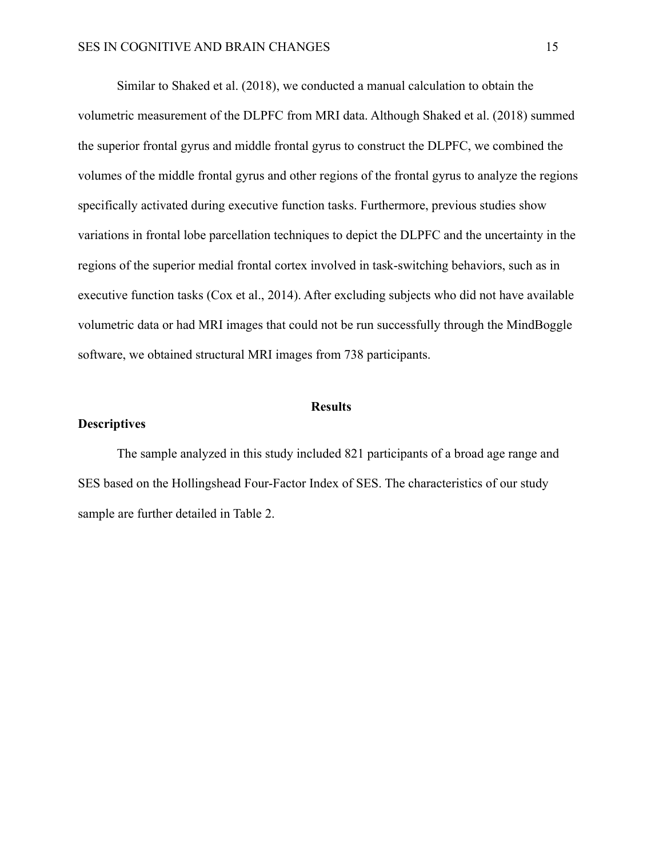Similar to Shaked et al. (2018), we conducted a manual calculation to obtain the volumetric measurement of the DLPFC from MRI data. Although Shaked et al. (2018) summed the superior frontal gyrus and middle frontal gyrus to construct the DLPFC, we combined the volumes of the middle frontal gyrus and other regions of the frontal gyrus to analyze the regions specifically activated during executive function tasks. Furthermore, previous studies show variations in frontal lobe parcellation techniques to depict the DLPFC and the uncertainty in the regions of the superior medial frontal cortex involved in task-switching behaviors, such as in executive function tasks (Cox et al., 2014). After excluding subjects who did not have available volumetric data or had MRI images that could not be run successfully through the MindBoggle software, we obtained structural MRI images from 738 participants.

#### **Results**

# **Descriptives**

The sample analyzed in this study included 821 participants of a broad age range and SES based on the Hollingshead Four-Factor Index of SES. The characteristics of our study sample are further detailed in Table 2.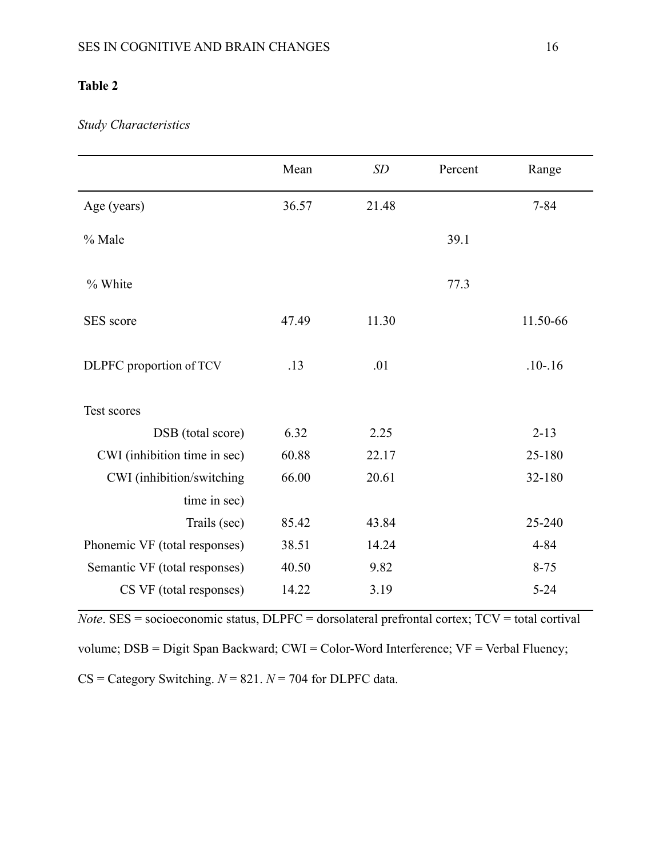# **Table 2**

# *Study Characteristics*

|                               | Mean  | SD    | Percent | Range       |
|-------------------------------|-------|-------|---------|-------------|
| Age (years)                   | 36.57 | 21.48 |         | $7 - 84$    |
| % Male                        |       |       | 39.1    |             |
| % White                       |       |       | 77.3    |             |
| SES score                     | 47.49 | 11.30 |         | 11.50-66    |
| DLPFC proportion of TCV       | .13   | .01   |         | $.10 - .16$ |
| Test scores                   |       |       |         |             |
| DSB (total score)             | 6.32  | 2.25  |         | $2 - 13$    |
| CWI (inhibition time in sec)  | 60.88 | 22.17 |         | 25-180      |
| CWI (inhibition/switching     | 66.00 | 20.61 |         | 32-180      |
| time in sec)                  |       |       |         |             |
| Trails (sec)                  | 85.42 | 43.84 |         | 25-240      |
| Phonemic VF (total responses) | 38.51 | 14.24 |         | $4 - 84$    |
| Semantic VF (total responses) | 40.50 | 9.82  |         | $8 - 75$    |
| CS VF (total responses)       | 14.22 | 3.19  |         | $5 - 24$    |

*Note*. SES = socioeconomic status, DLPFC = dorsolateral prefrontal cortex; TCV = total cortival volume; DSB = Digit Span Backward; CWI = Color-Word Interference; VF = Verbal Fluency; CS = Category Switching. *N* = 821. *N* = 704 for DLPFC data.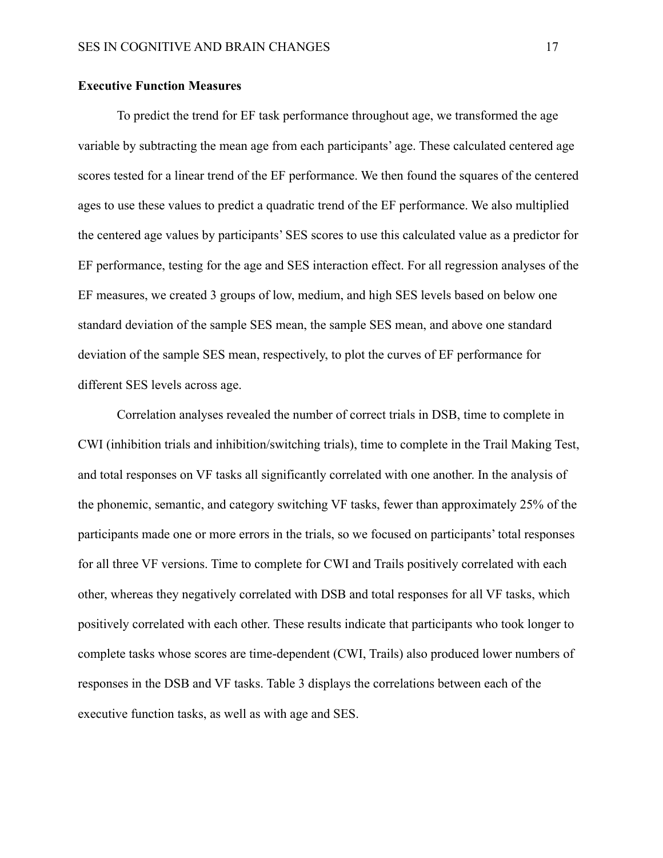#### **Executive Function Measures**

To predict the trend for EF task performance throughout age, we transformed the age variable by subtracting the mean age from each participants' age. These calculated centered age scores tested for a linear trend of the EF performance. We then found the squares of the centered ages to use these values to predict a quadratic trend of the EF performance. We also multiplied the centered age values by participants' SES scores to use this calculated value as a predictor for EF performance, testing for the age and SES interaction effect. For all regression analyses of the EF measures, we created 3 groups of low, medium, and high SES levels based on below one standard deviation of the sample SES mean, the sample SES mean, and above one standard deviation of the sample SES mean, respectively, to plot the curves of EF performance for different SES levels across age.

Correlation analyses revealed the number of correct trials in DSB, time to complete in CWI (inhibition trials and inhibition/switching trials), time to complete in the Trail Making Test, and total responses on VF tasks all significantly correlated with one another. In the analysis of the phonemic, semantic, and category switching VF tasks, fewer than approximately 25% of the participants made one or more errors in the trials, so we focused on participants' total responses for all three VF versions. Time to complete for CWI and Trails positively correlated with each other, whereas they negatively correlated with DSB and total responses for all VF tasks, which positively correlated with each other. These results indicate that participants who took longer to complete tasks whose scores are time-dependent (CWI, Trails) also produced lower numbers of responses in the DSB and VF tasks. Table 3 displays the correlations between each of the executive function tasks, as well as with age and SES.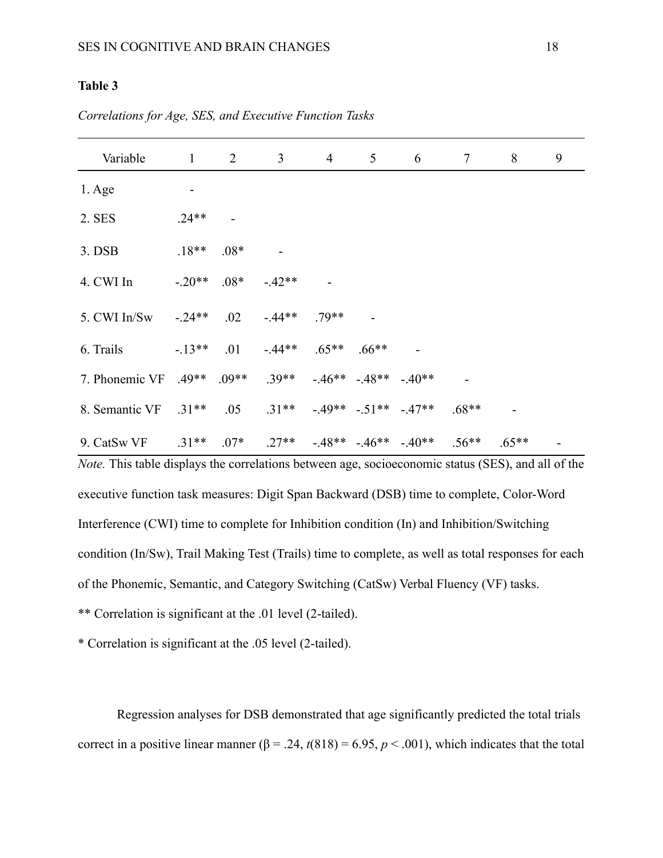# **Table 3**

| Variable                            |          | $1 \qquad 2$ | $\mathfrak{Z}$                           | $\overline{4}$      | 5 <sup>5</sup> | $6\degree$                | $7\overline{ }$ | 8       | 9 |
|-------------------------------------|----------|--------------|------------------------------------------|---------------------|----------------|---------------------------|-----------------|---------|---|
| $1. \text{Age}$                     |          |              |                                          |                     |                |                           |                 |         |   |
| 2. SES                              | $.24**$  |              |                                          |                     |                |                           |                 |         |   |
| 3. DSB                              | $.18**$  | $.08*$       |                                          |                     |                |                           |                 |         |   |
| 4. CWI In                           | $-.20**$ |              | $.08* -.42**$                            |                     |                |                           |                 |         |   |
| 5. CWI In/Sw                        | $-24**$  | $.02\,$      | $-44**$                                  | $.79**$             |                |                           |                 |         |   |
| 6. Trails                           | $-13**$  |              | $.01 - .44***$ $.65***$ $.66***$         |                     |                |                           |                 |         |   |
| 7. Phonemic VF .49** .09** .39**    |          |              |                                          | $-46** -48** -40**$ |                |                           |                 |         |   |
| 8. Semantic VF .31 <sup>**</sup>    |          |              | $.05$ $.31**$ $-.49**$ $-.51**$ $-.47**$ |                     |                |                           | $.68**$         |         |   |
| 9. CatSw VF $.31***$ $.07*$ $.27**$ |          |              |                                          |                     |                | $-48** -46** -40**$ .56** |                 | $.65**$ |   |

*Correlations for Age, SES, and Executive Function Tasks*

*Note.* This table displays the correlations between age, socioeconomic status (SES), and all of the executive function task measures: Digit Span Backward (DSB) time to complete, Color-Word Interference (CWI) time to complete for Inhibition condition (In) and Inhibition/Switching condition (In/Sw), Trail Making Test (Trails) time to complete, as well as total responses for each of the Phonemic, Semantic, and Category Switching (CatSw) Verbal Fluency (VF) tasks.

\*\* Correlation is significant at the .01 level (2-tailed).

\* Correlation is significant at the .05 level (2-tailed).

Regression analyses for DSB demonstrated that age significantly predicted the total trials correct in a positive linear manner ( $\beta$  = .24,  $t(818)$  = 6.95,  $p$  < .001), which indicates that the total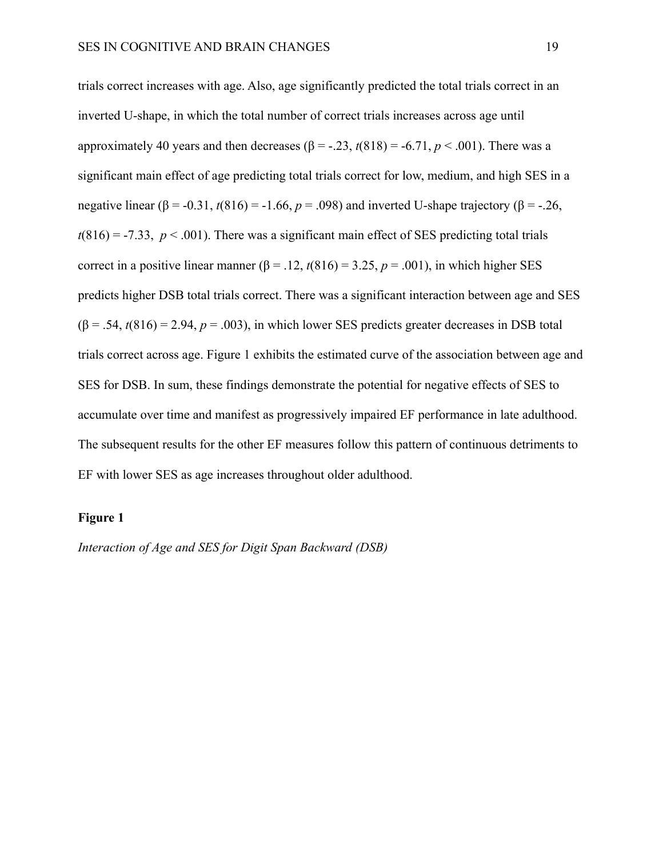trials correct increases with age. Also, age significantly predicted the total trials correct in an inverted U-shape, in which the total number of correct trials increases across age until approximately 40 years and then decreases  $(\beta = -.23, t(818) = -.6.71, p < .001)$ . There was a significant main effect of age predicting total trials correct for low, medium, and high SES in a negative linear ( $\beta$  = -0.31,  $t(816)$  = -1.66,  $p$  = .098) and inverted U-shape trajectory ( $\beta$  = -.26,  $t(816) = -7.33$ ,  $p < .001$ ). There was a significant main effect of SES predicting total trials correct in a positive linear manner ( $\beta$  = .12,  $t(816)$  = 3.25,  $p$  = .001), in which higher SES predicts higher DSB total trials correct. There was a significant interaction between age and SES  $(\beta = .54, t(816) = 2.94, p = .003)$ , in which lower SES predicts greater decreases in DSB total trials correct across age. Figure 1 exhibits the estimated curve of the association between age and SES for DSB. In sum, these findings demonstrate the potential for negative effects of SES to accumulate over time and manifest as progressively impaired EF performance in late adulthood. The subsequent results for the other EF measures follow this pattern of continuous detriments to EF with lower SES as age increases throughout older adulthood.

#### **Figure 1**

*Interaction of Age and SES for Digit Span Backward (DSB)*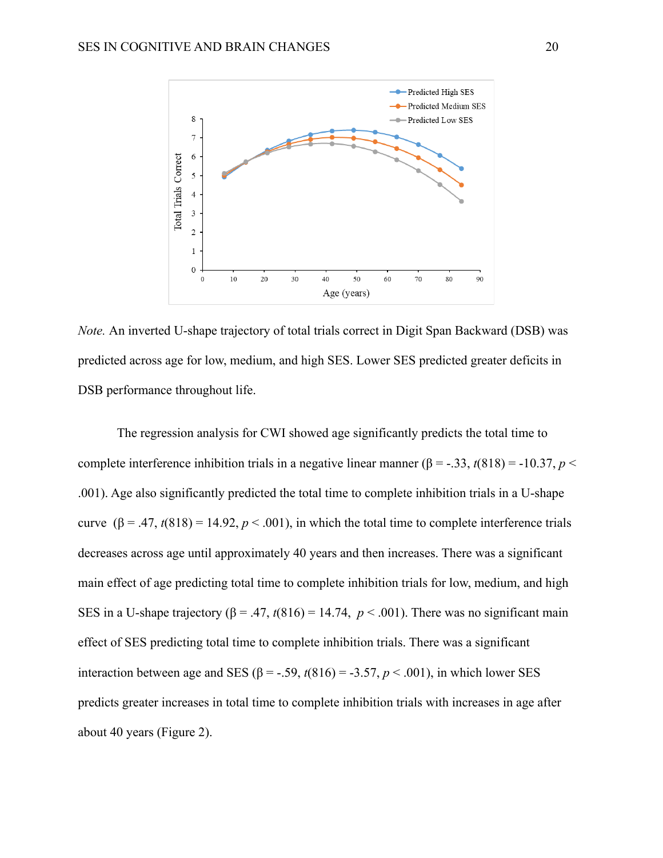

*Note.* An inverted U-shape trajectory of total trials correct in Digit Span Backward (DSB) was predicted across age for low, medium, and high SES. Lower SES predicted greater deficits in DSB performance throughout life.

The regression analysis for CWI showed age significantly predicts the total time to complete interference inhibition trials in a negative linear manner ( $\beta$  = -.33, *t*(818) = -10.37, *p* < .001). Age also significantly predicted the total time to complete inhibition trials in a U-shape curve  $(\beta = .47, t(818) = 14.92, p < .001)$ , in which the total time to complete interference trials decreases across age until approximately 40 years and then increases. There was a significant main effect of age predicting total time to complete inhibition trials for low, medium, and high SES in a U-shape trajectory ( $\beta$  = .47,  $t(816)$  = 14.74,  $p < .001$ ). There was no significant main effect of SES predicting total time to complete inhibition trials. There was a significant interaction between age and SES ( $\beta$  = -.59,  $t(816)$  = -3.57,  $p < .001$ ), in which lower SES predicts greater increases in total time to complete inhibition trials with increases in age after about 40 years (Figure 2).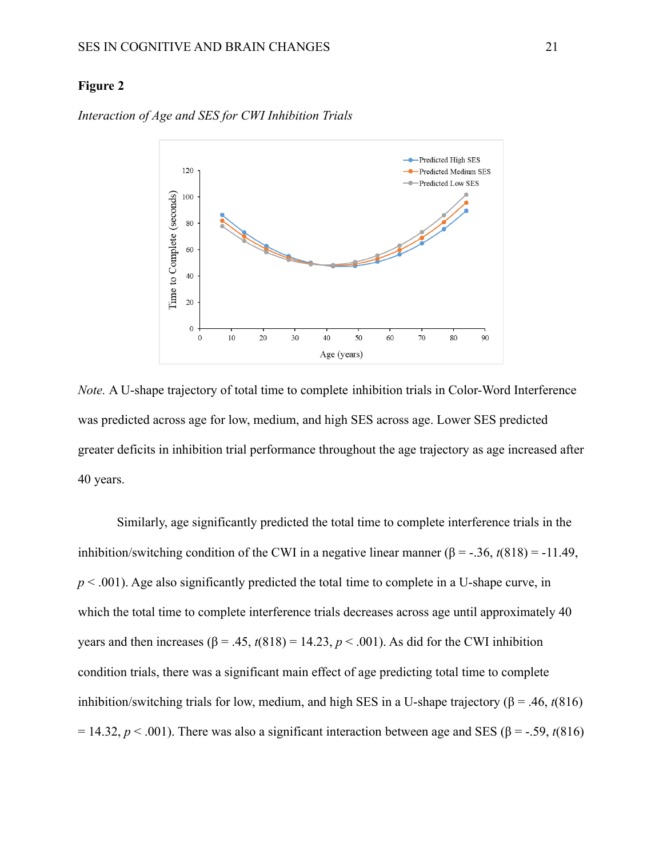# **Figure 2**



*Interaction of Age and SES for CWI Inhibition Trials*

*Note.* A U-shape trajectory of total time to complete inhibition trials in Color-Word Interference was predicted across age for low, medium, and high SES across age. Lower SES predicted greater deficits in inhibition trial performance throughout the age trajectory as age increased after 40 years.

Similarly, age significantly predicted the total time to complete interference trials in the inhibition/switching condition of the CWI in a negative linear manner  $(\beta = -0.36, t(818)) = -11.49$ ,  $p < .001$ ). Age also significantly predicted the total time to complete in a U-shape curve, in which the total time to complete interference trials decreases across age until approximately 40 years and then increases ( $\beta$  = .45,  $t(818)$  = 14.23,  $p < .001$ ). As did for the CWI inhibition condition trials, there was a significant main effect of age predicting total time to complete inhibition/switching trials for low, medium, and high SES in a U-shape trajectory (β = .46,  $t(816)$ ) = 14.32,  $p < .001$ ). There was also a significant interaction between age and SES ( $\beta$  = -.59, *t*(816)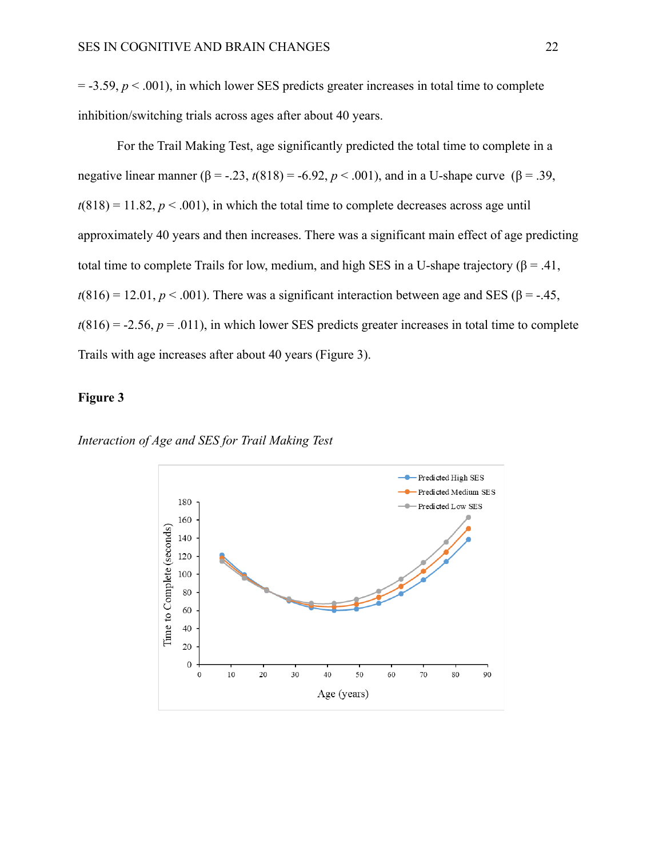$=$  -3.59,  $p < 0.001$ ), in which lower SES predicts greater increases in total time to complete inhibition/switching trials across ages after about 40 years.

For the Trail Making Test, age significantly predicted the total time to complete in a negative linear manner (β = -.23,  $t(818) = -6.92$ ,  $p < .001$ ), and in a U-shape curve (β = .39,  $t(818) = 11.82, p < .001$ , in which the total time to complete decreases across age until approximately 40 years and then increases. There was a significant main effect of age predicting total time to complete Trails for low, medium, and high SES in a U-shape trajectory ( $\beta$  = .41,  $t(816) = 12.01$ ,  $p < .001$ ). There was a significant interaction between age and SES ( $\beta$  = -.45,  $t(816) = -2.56$ ,  $p = .011$ ), in which lower SES predicts greater increases in total time to complete Trails with age increases after about 40 years (Figure 3).

### **Figure 3**

*Interaction of Age and SES for Trail Making Test*

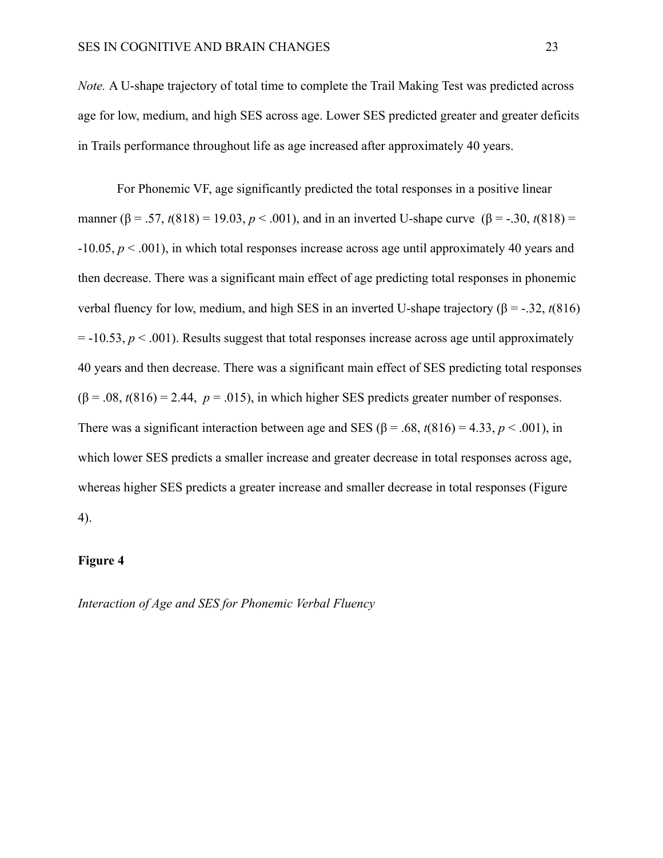*Note.* A U-shape trajectory of total time to complete the Trail Making Test was predicted across age for low, medium, and high SES across age. Lower SES predicted greater and greater deficits in Trails performance throughout life as age increased after approximately 40 years.

For Phonemic VF, age significantly predicted the total responses in a positive linear manner ( $\beta$  = .57, *t*(818) = 19.03, *p* < .001), and in an inverted U-shape curve ( $\beta$  = -.30, *t*(818) = -10.05, *p* < .001), in which total responses increase across age until approximately 40 years and then decrease. There was a significant main effect of age predicting total responses in phonemic verbal fluency for low, medium, and high SES in an inverted U-shape trajectory (β = -.32, *t*(816)  $= -10.53$ ,  $p < .001$ ). Results suggest that total responses increase across age until approximately 40 years and then decrease. There was a significant main effect of SES predicting total responses  $(\beta = .08, t(816) = 2.44, p = .015)$ , in which higher SES predicts greater number of responses. There was a significant interaction between age and SES ( $\beta$  = .68,  $t(816)$  = 4.33,  $p < .001$ ), in which lower SES predicts a smaller increase and greater decrease in total responses across age, whereas higher SES predicts a greater increase and smaller decrease in total responses (Figure 4).

### **Figure 4**

*Interaction of Age and SES for Phonemic Verbal Fluency*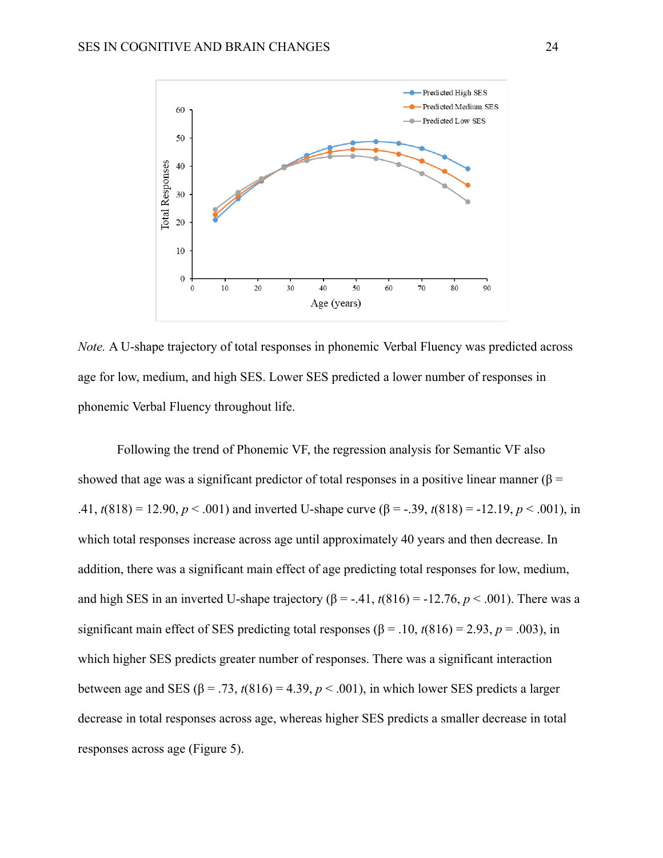

*Note.* A U-shape trajectory of total responses in phonemic Verbal Fluency was predicted across age for low, medium, and high SES. Lower SES predicted a lower number of responses in phonemic Verbal Fluency throughout life.

Following the trend of Phonemic VF, the regression analysis for Semantic VF also showed that age was a significant predictor of total responses in a positive linear manner ( $\beta$  = .41,  $t(818) = 12.90, p < .001$ ) and inverted U-shape curve  $(\beta = -0.39, t(818)) = -12.19, p < .001$ ), in which total responses increase across age until approximately 40 years and then decrease. In addition, there was a significant main effect of age predicting total responses for low, medium, and high SES in an inverted U-shape trajectory  $(\beta = -0.41, t(816)) = -12.76, p < .001$ ). There was a significant main effect of SES predicting total responses ( $\beta$  = .10,  $t(816)$  = 2.93,  $p$  = .003), in which higher SES predicts greater number of responses. There was a significant interaction between age and SES ( $\beta$  = .73,  $t(816)$  = 4.39,  $p < .001$ ), in which lower SES predicts a larger decrease in total responses across age, whereas higher SES predicts a smaller decrease in total responses across age (Figure 5).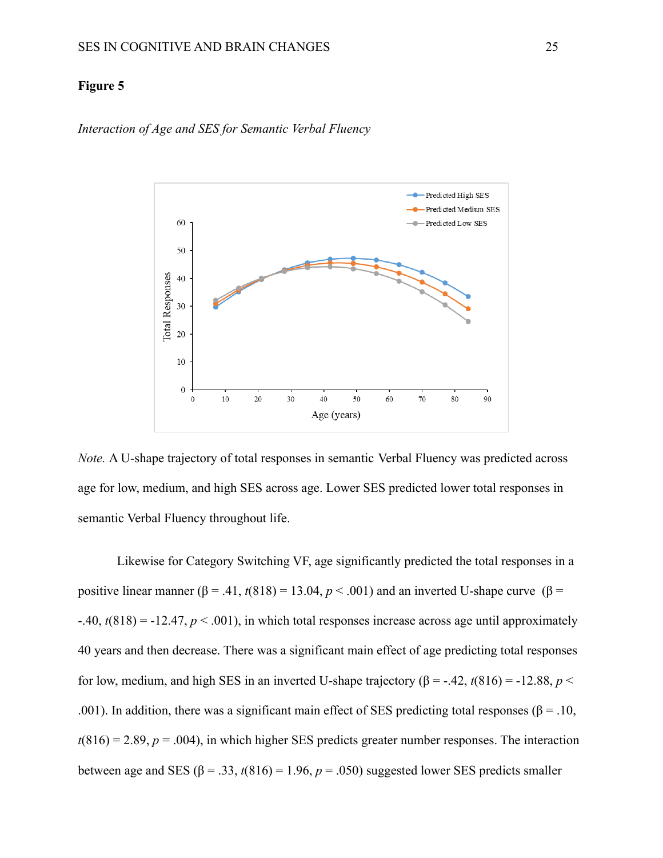### **Figure 5**



*Interaction of Age and SES for Semantic Verbal Fluency*

*Note.* A U-shape trajectory of total responses in semantic Verbal Fluency was predicted across age for low, medium, and high SES across age. Lower SES predicted lower total responses in semantic Verbal Fluency throughout life.

Likewise for Category Switching VF, age significantly predicted the total responses in a positive linear manner ( $\beta$  = .41,  $t(818)$  = 13.04,  $p < .001$ ) and an inverted U-shape curve ( $\beta$  =  $-40$ ,  $t(818) = -12.47$ ,  $p < .001$ ), in which total responses increase across age until approximately 40 years and then decrease. There was a significant main effect of age predicting total responses for low, medium, and high SES in an inverted U-shape trajectory  $(\beta = -0.42, t(816)) = -12.88, p <$ .001). In addition, there was a significant main effect of SES predicting total responses ( $\beta$  = .10,  $t(816) = 2.89$ ,  $p = .004$ ), in which higher SES predicts greater number responses. The interaction between age and SES ( $\beta$  = .33,  $t(816)$  = 1.96,  $p$  = .050) suggested lower SES predicts smaller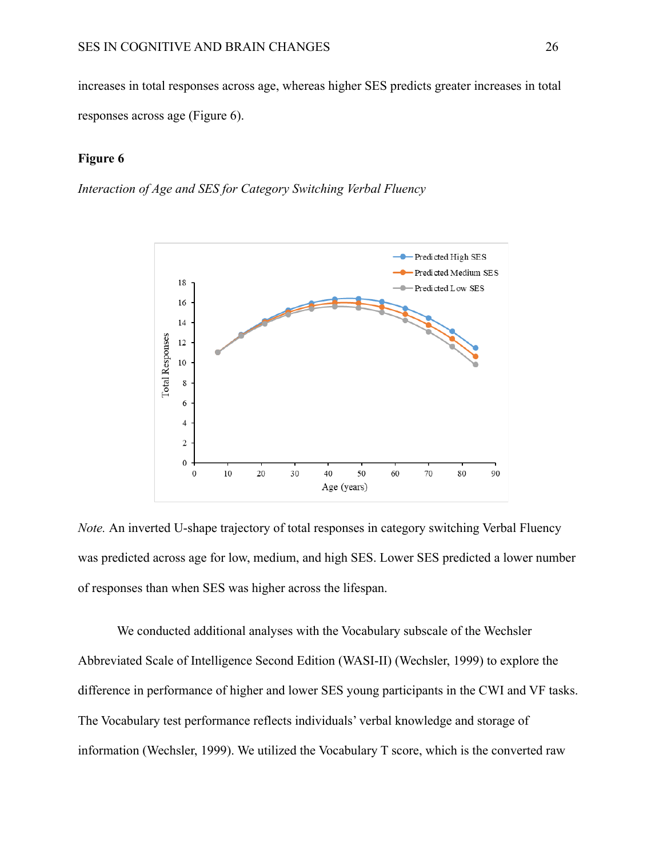increases in total responses across age, whereas higher SES predicts greater increases in total responses across age (Figure 6).

#### **Figure 6**

*Interaction of Age and SES for Category Switching Verbal Fluency*



*Note.* An inverted U-shape trajectory of total responses in category switching Verbal Fluency was predicted across age for low, medium, and high SES. Lower SES predicted a lower number of responses than when SES was higher across the lifespan.

We conducted additional analyses with the Vocabulary subscale of the Wechsler Abbreviated Scale of Intelligence Second Edition (WASI-II) (Wechsler, 1999) to explore the difference in performance of higher and lower SES young participants in the CWI and VF tasks. The Vocabulary test performance reflects individuals' verbal knowledge and storage of information (Wechsler, 1999). We utilized the Vocabulary T score, which is the converted raw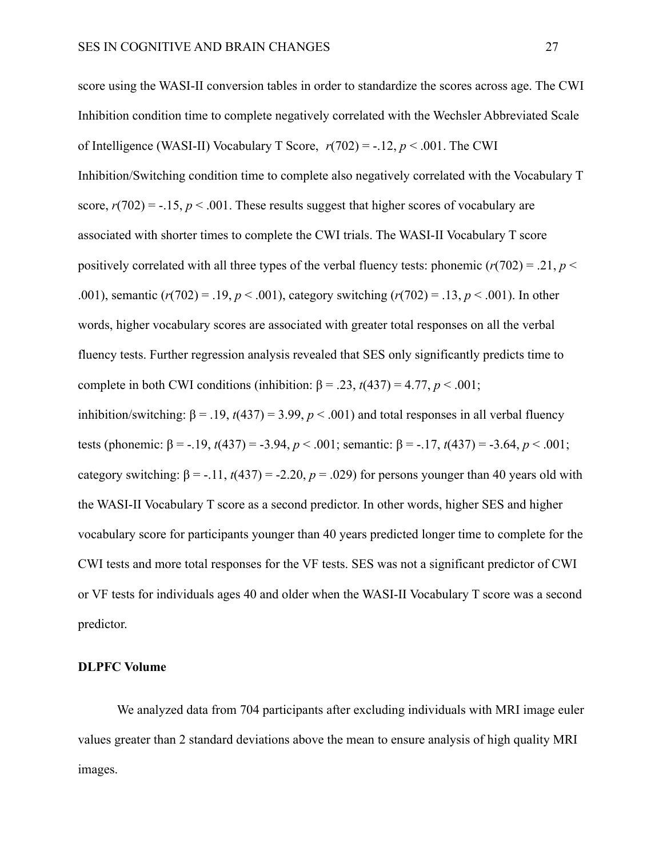score using the WASI-II conversion tables in order to standardize the scores across age. The CWI Inhibition condition time to complete negatively correlated with the Wechsler Abbreviated Scale of Intelligence (WASI-II) Vocabulary T Score,  $r(702) = -12$ ,  $p < .001$ . The CWI Inhibition/Switching condition time to complete also negatively correlated with the Vocabulary T score,  $r(702) = -0.15$ ,  $p < 0.001$ . These results suggest that higher scores of vocabulary are associated with shorter times to complete the CWI trials. The WASI-II Vocabulary T score positively correlated with all three types of the verbal fluency tests: phonemic  $(r(702) = .21, p <$ .001), semantic (*r*(702) = .19, *p* < .001), category switching (*r*(702) = .13, *p* < .001). In other words, higher vocabulary scores are associated with greater total responses on all the verbal fluency tests. Further regression analysis revealed that SES only significantly predicts time to complete in both CWI conditions (inhibition:  $\beta = .23$ ,  $t(437) = 4.77$ ,  $p < .001$ ; inhibition/switching:  $β = .19$ ,  $t(437) = 3.99$ ,  $p < .001$ ) and total responses in all verbal fluency tests (phonemic: β = -.19, *t*(437) = -3.94, *p* < .001; semantic: β = -.17, *t*(437) = -3.64, *p* < .001; category switching:  $\beta = -11$ ,  $t(437) = -2.20$ ,  $p = 0.029$ ) for persons younger than 40 years old with the WASI-II Vocabulary T score as a second predictor. In other words, higher SES and higher vocabulary score for participants younger than 40 years predicted longer time to complete for the CWI tests and more total responses for the VF tests. SES was not a significant predictor of CWI or VF tests for individuals ages 40 and older when the WASI-II Vocabulary T score was a second predictor.

#### **DLPFC Volume**

We analyzed data from 704 participants after excluding individuals with MRI image euler values greater than 2 standard deviations above the mean to ensure analysis of high quality MRI images.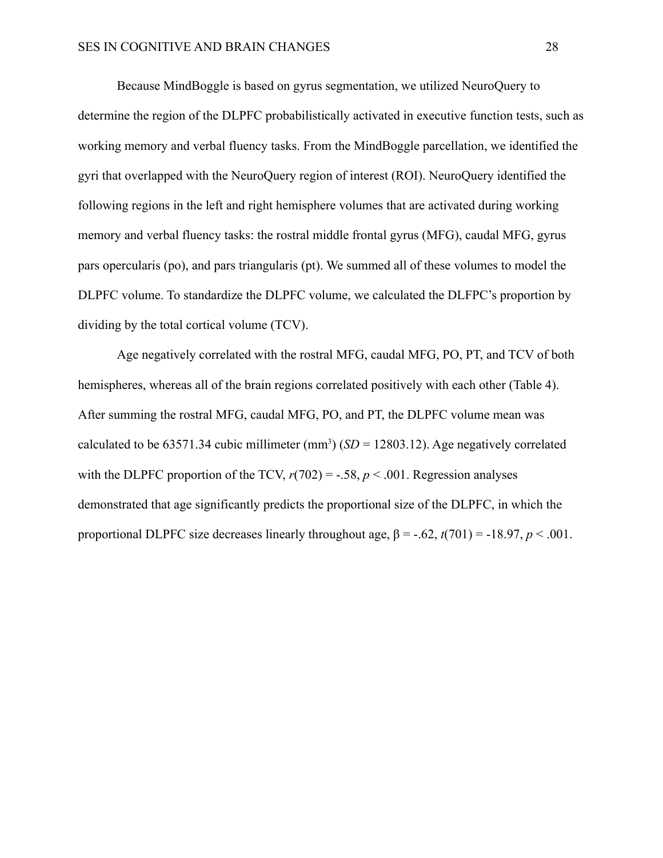Because MindBoggle is based on gyrus segmentation, we utilized NeuroQuery to determine the region of the DLPFC probabilistically activated in executive function tests, such as working memory and verbal fluency tasks. From the MindBoggle parcellation, we identified the gyri that overlapped with the NeuroQuery region of interest (ROI). NeuroQuery identified the following regions in the left and right hemisphere volumes that are activated during working memory and verbal fluency tasks: the rostral middle frontal gyrus (MFG), caudal MFG, gyrus pars opercularis (po), and pars triangularis (pt). We summed all of these volumes to model the DLPFC volume. To standardize the DLPFC volume, we calculated the DLFPC's proportion by dividing by the total cortical volume (TCV).

Age negatively correlated with the rostral MFG, caudal MFG, PO, PT, and TCV of both hemispheres, whereas all of the brain regions correlated positively with each other (Table 4). After summing the rostral MFG, caudal MFG, PO, and PT, the DLPFC volume mean was calculated to be 63571.34 cubic millimeter  $(mm^3) (SD = 12803.12)$ . Age negatively correlated with the DLPFC proportion of the TCV,  $r(702) = -.58$ ,  $p < .001$ . Regression analyses demonstrated that age significantly predicts the proportional size of the DLPFC, in which the proportional DLPFC size decreases linearly throughout age,  $\beta = -.62$ ,  $t(701) = -18.97$ ,  $p < .001$ .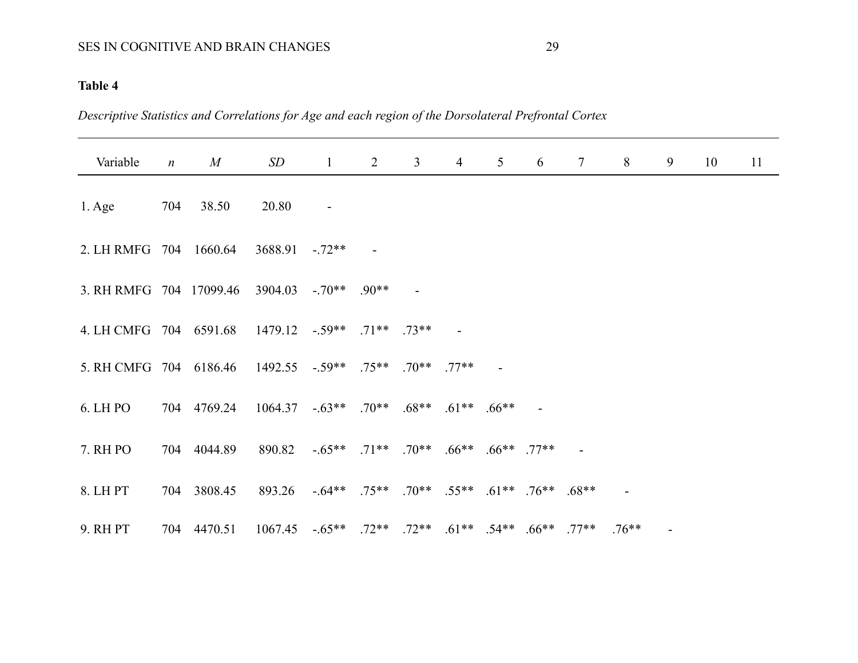# SES IN COGNITIVE AND BRAIN CHANGES 29

# **Table 4**

*Descriptive Statistics and Correlations for Age and each region of the Dorsolateral Prefrontal Cortex*

| Variable                                                | $\boldsymbol{n}$ | M                                                  | SD                                                                | $\mathbf{1}$   | $\overline{2}$ | $\mathfrak{Z}$ | $\overline{4}$ | 5 <sup>1</sup> | 6 | $7\overline{ }$ | 8       | 9 | 10 | 11 |
|---------------------------------------------------------|------------------|----------------------------------------------------|-------------------------------------------------------------------|----------------|----------------|----------------|----------------|----------------|---|-----------------|---------|---|----|----|
| $1. \text{Age}$                                         |                  | 704 38.50                                          | 20.80                                                             | $\blacksquare$ |                |                |                |                |   |                 |         |   |    |    |
| 2. LH RMFG 704 1660.64                                  |                  |                                                    | $3688.91 - 72**$                                                  |                |                |                |                |                |   |                 |         |   |    |    |
| 3. RH RMFG 704 17099.46 3904.03 -.70** .90**            |                  |                                                    |                                                                   |                |                |                |                |                |   |                 |         |   |    |    |
| 4. LH CMFG 704 6591.68 1479.12 -.59** .71** .73**       |                  |                                                    |                                                                   |                |                |                |                |                |   |                 |         |   |    |    |
| 5. RH CMFG 704 6186.46 1492.55 -.59** .75** .70** .77** |                  |                                                    |                                                                   |                |                |                |                |                |   |                 |         |   |    |    |
| 6. LH PO                                                |                  | 704 4769.24 1064.37 -.63** .70** .68** .61** .66** |                                                                   |                |                |                |                |                |   |                 |         |   |    |    |
| 7. RH PO                                                |                  | 704 4044.89                                        | 890.82 -.65** .71** .70** .66** .66** .77**                       |                |                |                |                |                |   |                 |         |   |    |    |
| 8. LH PT                                                |                  | 704 3808.45                                        | 893.26 -.64** .75** .70** .55** .61** .76** .68**                 |                |                |                |                |                |   |                 |         |   |    |    |
| 9. RHPT                                                 |                  | 704 4470.51                                        | $1067.45$ $-65**$ $.72**$ $.72**$ $.61**$ $.54**$ $.66**$ $.77**$ |                |                |                |                |                |   |                 | $76***$ |   |    |    |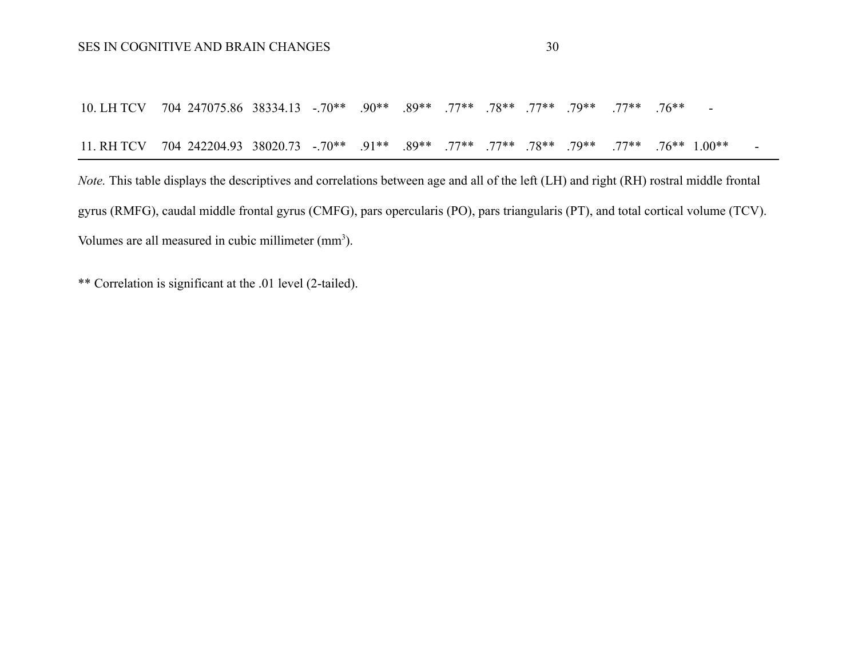10. LH TCV 704 247075.86 38334.13 -.70\*\* .90\*\* .89\*\* .77\*\* .78\*\* .77\*\* .79\*\* .77\*\* .76\*\* - 11. RH TCV 704 242204.93 38020.73 -.70\*\* .91\*\* .89\*\* .77\*\* .77\*\* .78\*\* .79\*\* .77\*\* .76\*\* 1.00\*\* -

*Note.* This table displays the descriptives and correlations between age and all of the left (LH) and right (RH) rostral middle frontal gyrus (RMFG), caudal middle frontal gyrus (CMFG), pars opercularis (PO), pars triangularis (PT), and total cortical volume (TCV). Volumes are all measured in cubic millimeter (mm<sup>3</sup>).

\*\* Correlation is significant at the .01 level (2-tailed).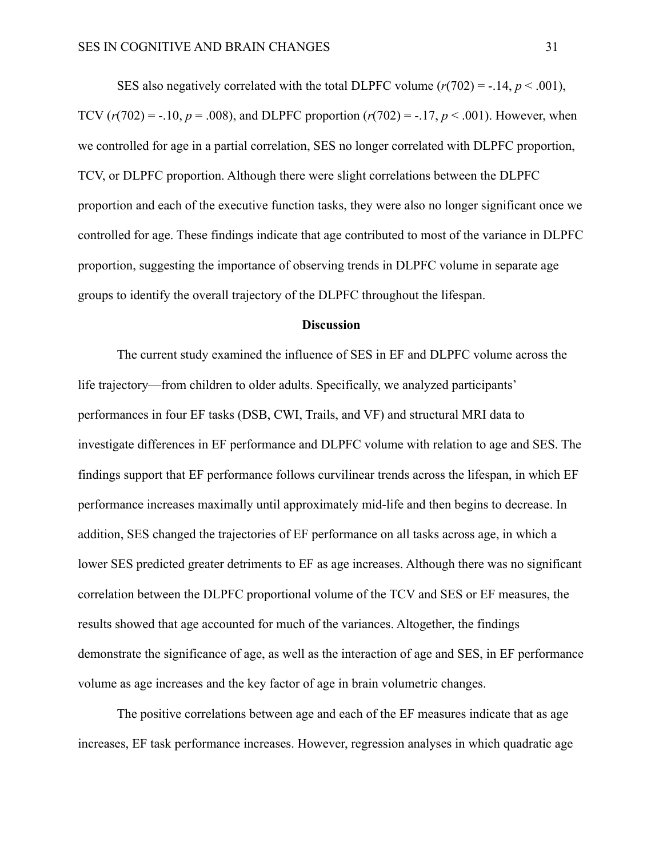SES also negatively correlated with the total DLPFC volume  $(r(702) = -0.14, p < 0.001)$ , TCV  $(r(702) = -.10, p = .008)$ , and DLPFC proportion  $(r(702) = -.17, p < .001)$ . However, when we controlled for age in a partial correlation, SES no longer correlated with DLPFC proportion, TCV, or DLPFC proportion. Although there were slight correlations between the DLPFC proportion and each of the executive function tasks, they were also no longer significant once we controlled for age. These findings indicate that age contributed to most of the variance in DLPFC proportion, suggesting the importance of observing trends in DLPFC volume in separate age groups to identify the overall trajectory of the DLPFC throughout the lifespan.

#### **Discussion**

The current study examined the influence of SES in EF and DLPFC volume across the life trajectory—from children to older adults. Specifically, we analyzed participants' performances in four EF tasks (DSB, CWI, Trails, and VF) and structural MRI data to investigate differences in EF performance and DLPFC volume with relation to age and SES. The findings support that EF performance follows curvilinear trends across the lifespan, in which EF performance increases maximally until approximately mid-life and then begins to decrease. In addition, SES changed the trajectories of EF performance on all tasks across age, in which a lower SES predicted greater detriments to EF as age increases. Although there was no significant correlation between the DLPFC proportional volume of the TCV and SES or EF measures, the results showed that age accounted for much of the variances. Altogether, the findings demonstrate the significance of age, as well as the interaction of age and SES, in EF performance volume as age increases and the key factor of age in brain volumetric changes.

The positive correlations between age and each of the EF measures indicate that as age increases, EF task performance increases. However, regression analyses in which quadratic age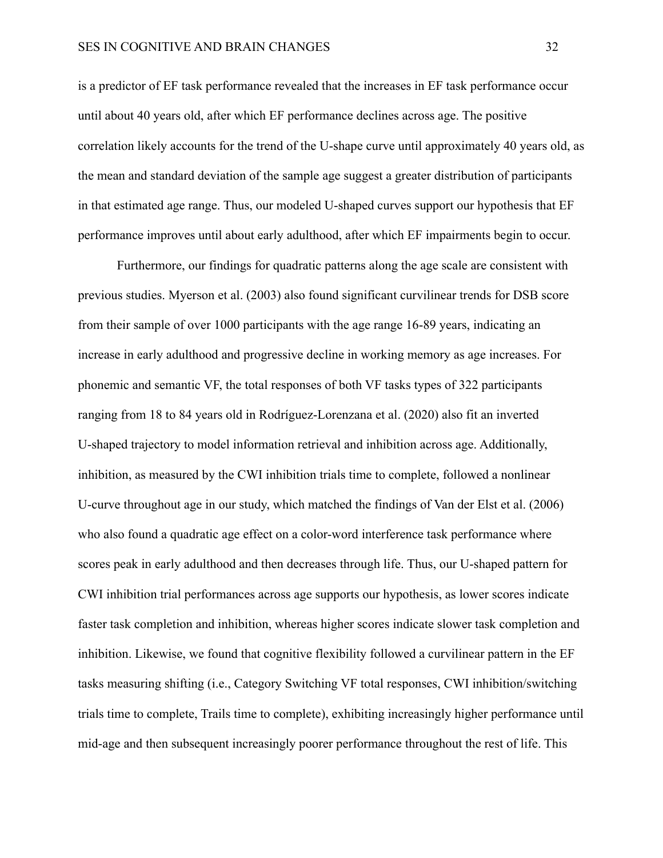is a predictor of EF task performance revealed that the increases in EF task performance occur until about 40 years old, after which EF performance declines across age. The positive correlation likely accounts for the trend of the U-shape curve until approximately 40 years old, as the mean and standard deviation of the sample age suggest a greater distribution of participants in that estimated age range. Thus, our modeled U-shaped curves support our hypothesis that EF performance improves until about early adulthood, after which EF impairments begin to occur.

Furthermore, our findings for quadratic patterns along the age scale are consistent with previous studies. Myerson et al. (2003) also found significant curvilinear trends for DSB score from their sample of over 1000 participants with the age range 16-89 years, indicating an increase in early adulthood and progressive decline in working memory as age increases. For phonemic and semantic VF, the total responses of both VF tasks types of 322 participants ranging from 18 to 84 years old in Rodríguez-Lorenzana et al. (2020) also fit an inverted U-shaped trajectory to model information retrieval and inhibition across age. Additionally, inhibition, as measured by the CWI inhibition trials time to complete, followed a nonlinear U-curve throughout age in our study, which matched the findings of Van der Elst et al. (2006) who also found a quadratic age effect on a color-word interference task performance where scores peak in early adulthood and then decreases through life. Thus, our U-shaped pattern for CWI inhibition trial performances across age supports our hypothesis, as lower scores indicate faster task completion and inhibition, whereas higher scores indicate slower task completion and inhibition. Likewise, we found that cognitive flexibility followed a curvilinear pattern in the EF tasks measuring shifting (i.e., Category Switching VF total responses, CWI inhibition/switching trials time to complete, Trails time to complete), exhibiting increasingly higher performance until mid-age and then subsequent increasingly poorer performance throughout the rest of life. This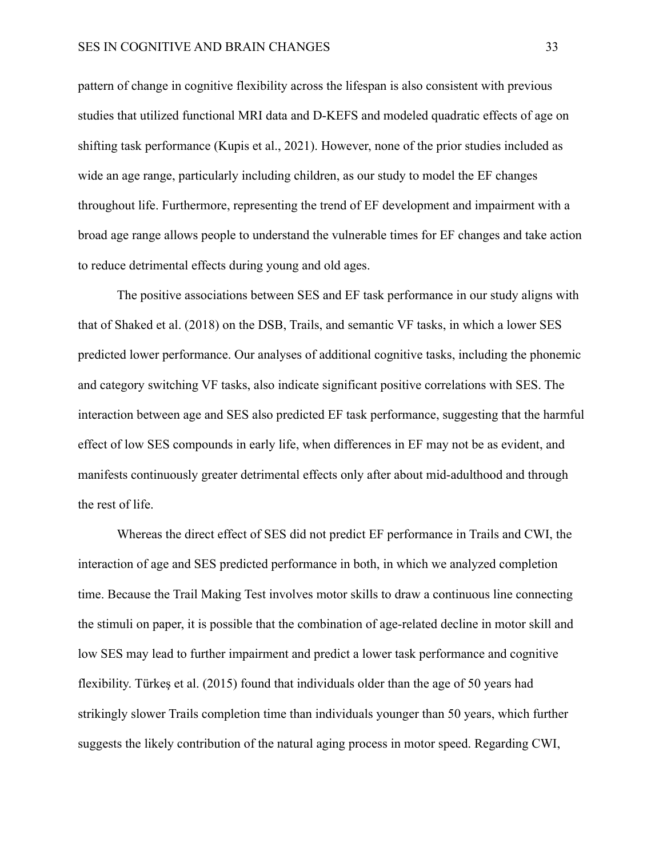pattern of change in cognitive flexibility across the lifespan is also consistent with previous studies that utilized functional MRI data and D-KEFS and modeled quadratic effects of age on shifting task performance (Kupis et al., 2021). However, none of the prior studies included as wide an age range, particularly including children, as our study to model the EF changes throughout life. Furthermore, representing the trend of EF development and impairment with a broad age range allows people to understand the vulnerable times for EF changes and take action to reduce detrimental effects during young and old ages.

The positive associations between SES and EF task performance in our study aligns with that of Shaked et al. (2018) on the DSB, Trails, and semantic VF tasks, in which a lower SES predicted lower performance. Our analyses of additional cognitive tasks, including the phonemic and category switching VF tasks, also indicate significant positive correlations with SES. The interaction between age and SES also predicted EF task performance, suggesting that the harmful effect of low SES compounds in early life, when differences in EF may not be as evident, and manifests continuously greater detrimental effects only after about mid-adulthood and through the rest of life.

Whereas the direct effect of SES did not predict EF performance in Trails and CWI, the interaction of age and SES predicted performance in both, in which we analyzed completion time. Because the Trail Making Test involves motor skills to draw a continuous line connecting the stimuli on paper, it is possible that the combination of age-related decline in motor skill and low SES may lead to further impairment and predict a lower task performance and cognitive flexibility. Türkeş et al. (2015) found that individuals older than the age of 50 years had strikingly slower Trails completion time than individuals younger than 50 years, which further suggests the likely contribution of the natural aging process in motor speed. Regarding CWI,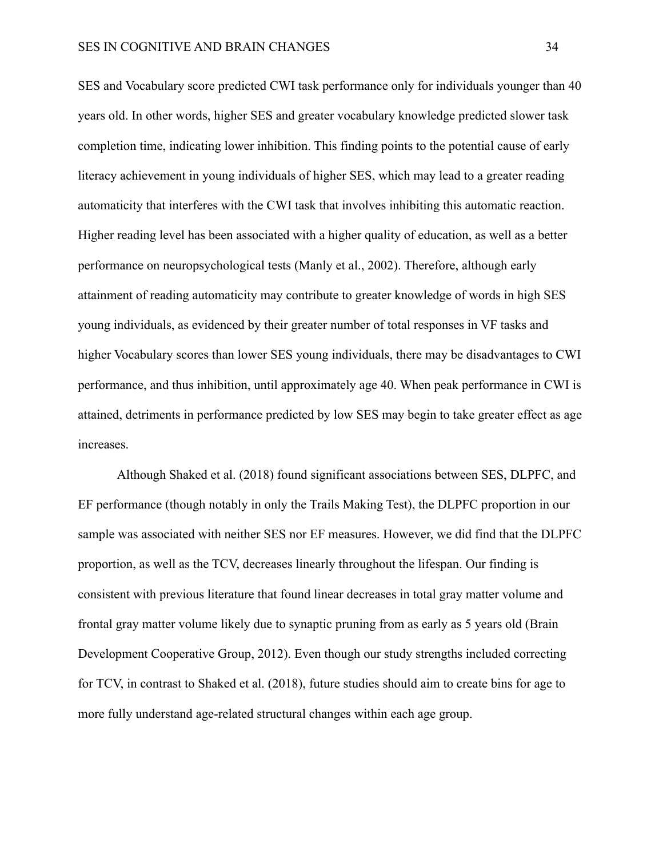SES and Vocabulary score predicted CWI task performance only for individuals younger than 40 years old. In other words, higher SES and greater vocabulary knowledge predicted slower task completion time, indicating lower inhibition. This finding points to the potential cause of early literacy achievement in young individuals of higher SES, which may lead to a greater reading automaticity that interferes with the CWI task that involves inhibiting this automatic reaction. Higher reading level has been associated with a higher quality of education, as well as a better performance on neuropsychological tests (Manly et al., 2002). Therefore, although early attainment of reading automaticity may contribute to greater knowledge of words in high SES young individuals, as evidenced by their greater number of total responses in VF tasks and higher Vocabulary scores than lower SES young individuals, there may be disadvantages to CWI performance, and thus inhibition, until approximately age 40. When peak performance in CWI is attained, detriments in performance predicted by low SES may begin to take greater effect as age increases.

Although Shaked et al. (2018) found significant associations between SES, DLPFC, and EF performance (though notably in only the Trails Making Test), the DLPFC proportion in our sample was associated with neither SES nor EF measures. However, we did find that the DLPFC proportion, as well as the TCV, decreases linearly throughout the lifespan. Our finding is consistent with previous literature that found linear decreases in total gray matter volume and frontal gray matter volume likely due to synaptic pruning from as early as 5 years old (Brain Development Cooperative Group, 2012). Even though our study strengths included correcting for TCV, in contrast to Shaked et al. (2018), future studies should aim to create bins for age to more fully understand age-related structural changes within each age group.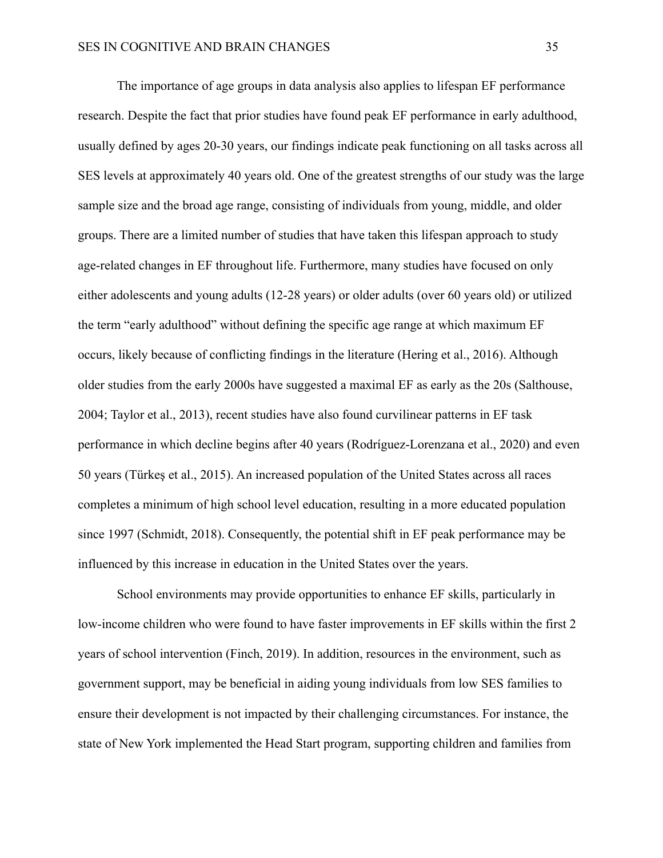The importance of age groups in data analysis also applies to lifespan EF performance research. Despite the fact that prior studies have found peak EF performance in early adulthood, usually defined by ages 20-30 years, our findings indicate peak functioning on all tasks across all SES levels at approximately 40 years old. One of the greatest strengths of our study was the large sample size and the broad age range, consisting of individuals from young, middle, and older groups. There are a limited number of studies that have taken this lifespan approach to study age-related changes in EF throughout life. Furthermore, many studies have focused on only either adolescents and young adults (12-28 years) or older adults (over 60 years old) or utilized the term "early adulthood" without defining the specific age range at which maximum EF occurs, likely because of conflicting findings in the literature (Hering et al., 2016). Although older studies from the early 2000s have suggested a maximal EF as early as the 20s (Salthouse, 2004; Taylor et al., 2013), recent studies have also found curvilinear patterns in EF task performance in which decline begins after 40 years (Rodríguez-Lorenzana et al., 2020) and even 50 years (Türkeş et al., 2015). An increased population of the United States across all races completes a minimum of high school level education, resulting in a more educated population since 1997 (Schmidt, 2018). Consequently, the potential shift in EF peak performance may be influenced by this increase in education in the United States over the years.

School environments may provide opportunities to enhance EF skills, particularly in low-income children who were found to have faster improvements in EF skills within the first 2 years of school intervention (Finch, 2019). In addition, resources in the environment, such as government support, may be beneficial in aiding young individuals from low SES families to ensure their development is not impacted by their challenging circumstances. For instance, the state of New York implemented the Head Start program, supporting children and families from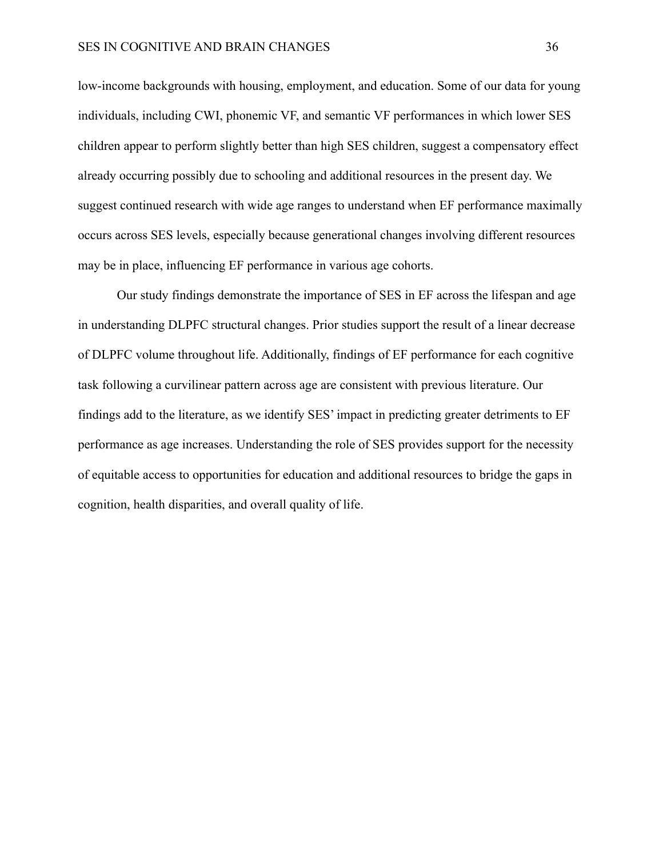low-income backgrounds with housing, employment, and education. Some of our data for young individuals, including CWI, phonemic VF, and semantic VF performances in which lower SES children appear to perform slightly better than high SES children, suggest a compensatory effect already occurring possibly due to schooling and additional resources in the present day. We suggest continued research with wide age ranges to understand when EF performance maximally occurs across SES levels, especially because generational changes involving different resources may be in place, influencing EF performance in various age cohorts.

Our study findings demonstrate the importance of SES in EF across the lifespan and age in understanding DLPFC structural changes. Prior studies support the result of a linear decrease of DLPFC volume throughout life. Additionally, findings of EF performance for each cognitive task following a curvilinear pattern across age are consistent with previous literature. Our findings add to the literature, as we identify SES' impact in predicting greater detriments to EF performance as age increases. Understanding the role of SES provides support for the necessity of equitable access to opportunities for education and additional resources to bridge the gaps in cognition, health disparities, and overall quality of life.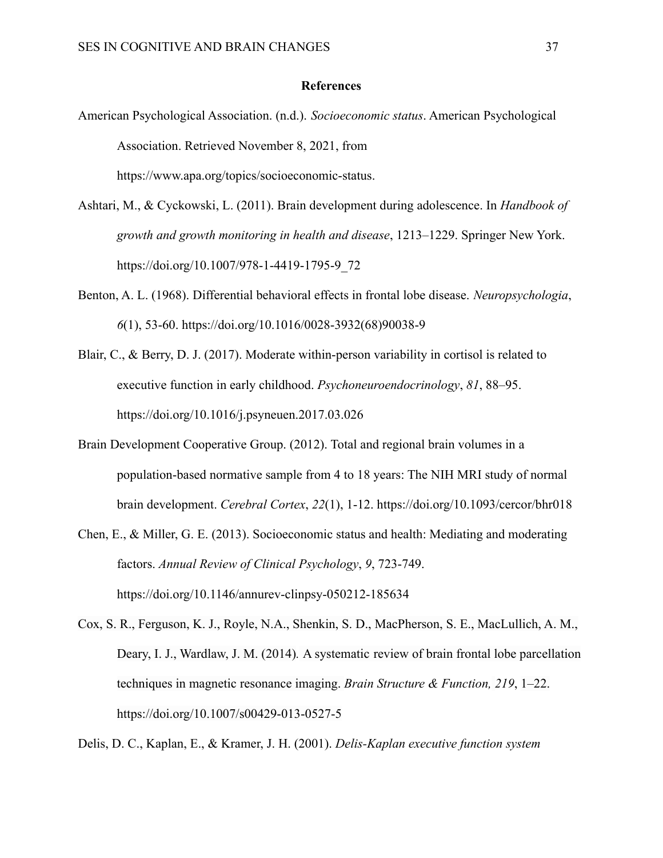#### **References**

- American Psychological Association. (n.d.). *Socioeconomic status*. American Psychological Association. Retrieved November 8, 2021, from https://www.apa.org/topics/socioeconomic-status.
- Ashtari, M., & Cyckowski, L. (2011). Brain development during adolescence. In *Handbook of growth and growth monitoring in health and disease*, 1213–1229. Springer New York. https://doi.org/10.1007/978-1-4419-1795-9\_72
- Benton, A. L. (1968). Differential behavioral effects in frontal lobe disease. *Neuropsychologia*, *6*(1), 53-60. https://doi.org/10.1016/0028-3932(68)90038-9
- Blair, C., & Berry, D. J. (2017). Moderate within-person variability in cortisol is related to executive function in early childhood. *Psychoneuroendocrinology*, *81*, 88–95. https://doi.org/10.1016/j.psyneuen.2017.03.026
- Brain Development Cooperative Group. (2012). Total and regional brain volumes in a population-based normative sample from 4 to 18 years: The NIH MRI study of normal brain development. *Cerebral Cortex*, *22*(1), 1-12. https://doi.org/10.1093/cercor/bhr018
- Chen, E., & Miller, G. E. (2013). Socioeconomic status and health: Mediating and moderating factors. *Annual Review of Clinical Psychology*, *9*, 723-749. https://doi.org/10.1146/annurev-clinpsy-050212-185634
- Cox, S. R., Ferguson, K. J., Royle, N.A., Shenkin, S. D., MacPherson, S. E., MacLullich, A. M., Deary, I. J., Wardlaw, J. M. (2014)*.* A systematic review of brain frontal lobe parcellation techniques in magnetic resonance imaging. *Brain Structure & Function, 219*, 1–22. https://doi.org/10.1007/s00429-013-0527-5

Delis, D. C., Kaplan, E., & Kramer, J. H. (2001). *Delis-Kaplan executive function system*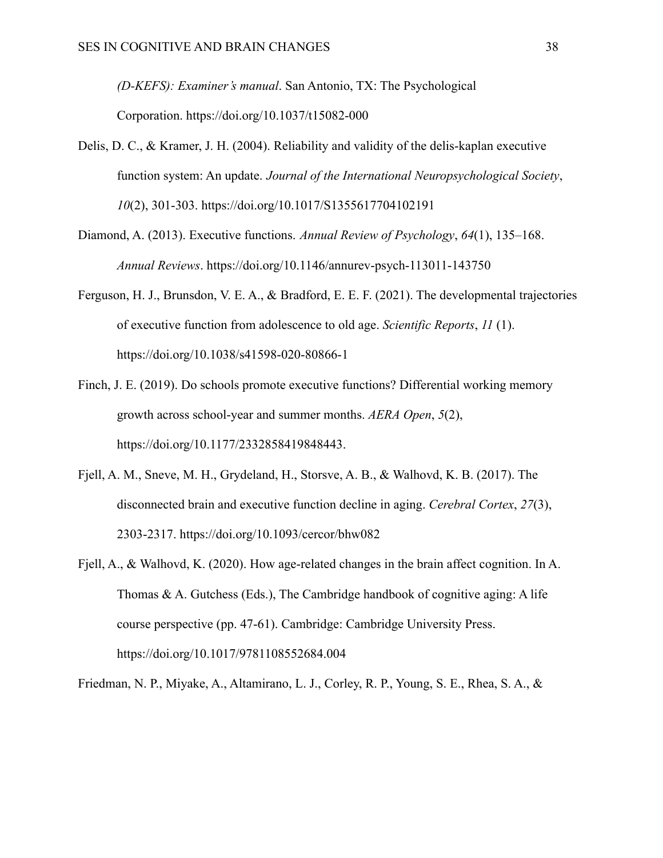*(D-KEFS): Examiner's manual*. San Antonio, TX: The Psychological Corporation. https://doi.org/10.1037/t15082-000

- Delis, D. C., & Kramer, J. H. (2004). Reliability and validity of the delis-kaplan executive function system: An update. *Journal of the International Neuropsychological Society*, *10*(2), 301-303. https://doi.org/10.1017/S1355617704102191
- Diamond, A. (2013). Executive functions. *Annual Review of Psychology*, *64*(1), 135–168. *Annual Reviews*. https://doi.org/10.1146/annurev-psych-113011-143750
- Ferguson, H. J., Brunsdon, V. E. A., & Bradford, E. E. F. (2021). The developmental trajectories of executive function from adolescence to old age. *Scientific Reports*, *11* (1). https://doi.org/10.1038/s41598-020-80866-1
- Finch, J. E. (2019). Do schools promote executive functions? Differential working memory growth across school-year and summer months. *AERA Open*, *5*(2), https://doi.org/10.1177/2332858419848443.
- Fjell, A. M., Sneve, M. H., Grydeland, H., Storsve, A. B., & Walhovd, K. B. (2017). The disconnected brain and executive function decline in aging. *Cerebral Cortex*, *27*(3), 2303-2317. https://doi.org/10.1093/cercor/bhw082
- Fjell, A., & Walhovd, K. (2020). How age-related changes in the brain affect cognition. In A. Thomas & A. Gutchess (Eds.), The Cambridge handbook of cognitive aging: A life course perspective (pp. 47-61). Cambridge: Cambridge University Press. https://doi.org/10.1017/9781108552684.004

Friedman, N. P., Miyake, A., Altamirano, L. J., Corley, R. P., Young, S. E., Rhea, S. A., &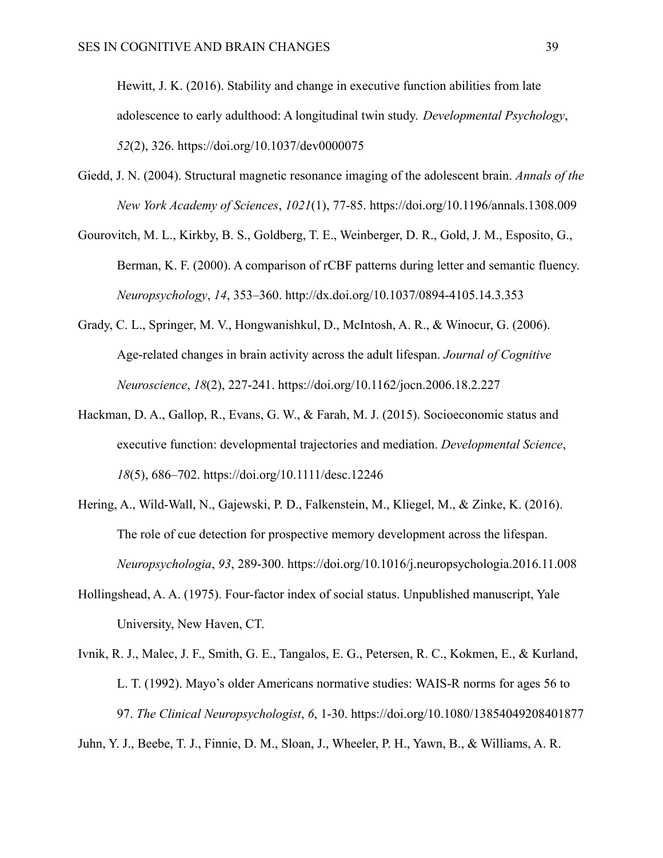Hewitt, J. K. (2016). Stability and change in executive function abilities from late adolescence to early adulthood: A longitudinal twin study. *Developmental Psychology*, *52*(2), 326. https://doi.org/10.1037/dev0000075

- Giedd, J. N. (2004). Structural magnetic resonance imaging of the adolescent brain. *Annals of the New York Academy of Sciences*, *1021*(1), 77-85. https://doi.org/10.1196/annals.1308.009
- Gourovitch, M. L., Kirkby, B. S., Goldberg, T. E., Weinberger, D. R., Gold, J. M., Esposito, G., Berman, K. F. (2000). A comparison of rCBF patterns during letter and semantic fluency. *Neuropsychology*, *14*, 353–360. http://dx.doi.org/10.1037/0894-4105.14.3.353
- Grady, C. L., Springer, M. V., Hongwanishkul, D., McIntosh, A. R., & Winocur, G. (2006). Age-related changes in brain activity across the adult lifespan. *Journal of Cognitive Neuroscience*, *18*(2), 227-241. https://doi.org/10.1162/jocn.2006.18.2.227
- Hackman, D. A., Gallop, R., Evans, G. W., & Farah, M. J. (2015). Socioeconomic status and executive function: developmental trajectories and mediation. *Developmental Science*, *18*(5), 686–702. https://doi.org/10.1111/desc.12246
- Hering, A., Wild-Wall, N., Gajewski, P. D., Falkenstein, M., Kliegel, M., & Zinke, K. (2016). The role of cue detection for prospective memory development across the lifespan. *Neuropsychologia*, *93*, 289-300. https://doi.org/10.1016/j.neuropsychologia.2016.11.008
- Hollingshead, A. A. (1975). Four-factor index of social status. Unpublished manuscript, Yale University, New Haven, CT.
- Ivnik, R. J., Malec, J. F., Smith, G. E., Tangalos, E. G., Petersen, R. C., Kokmen, E., & Kurland, L. T. (1992). Mayo's older Americans normative studies: WAIS-R norms for ages 56 to 97. *The Clinical Neuropsychologist*, *6*, 1-30. https://doi.org/10.1080/13854049208401877 Juhn, Y. J., Beebe, T. J., Finnie, D. M., Sloan, J., Wheeler, P. H., Yawn, B., & Williams, A. R.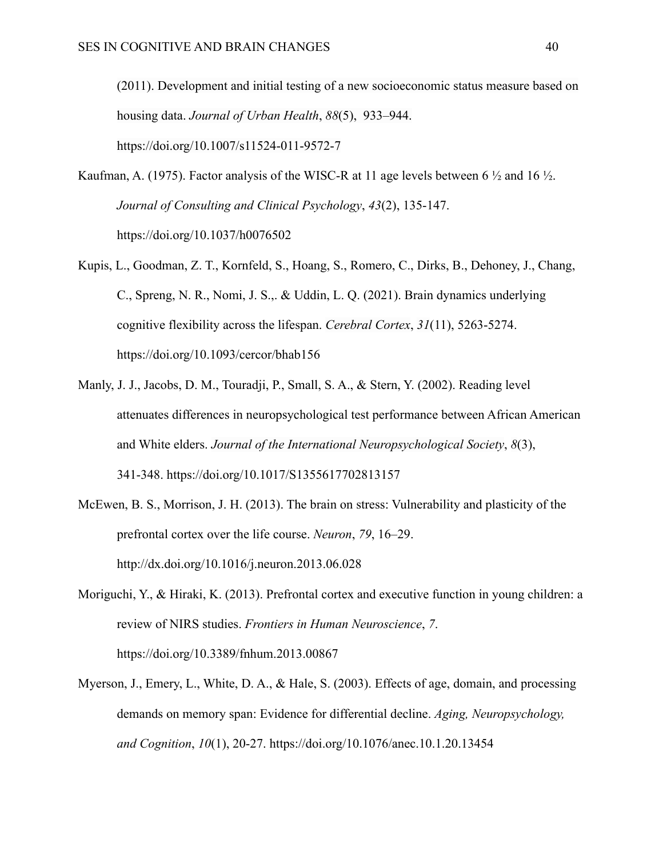(2011). Development and initial testing of a new socioeconomic status measure based on housing data. *Journal of Urban Health*, *88*(5), 933–944. https://doi.org/10.1007/s11524-011-9572-7

- Kaufman, A. (1975). Factor analysis of the WISC-R at 11 age levels between 6  $\frac{1}{2}$  and 16  $\frac{1}{2}$ . *Journal of Consulting and Clinical Psychology*, *43*(2), 135-147. [https://doi.org/10.1037/h0076502](https://psycnet.apa.org/doi/10.1037/h0076502)
- Kupis, L., Goodman, Z. T., Kornfeld, S., Hoang, S., Romero, C., Dirks, B., Dehoney, J., Chang, C., Spreng, N. R., Nomi, J. S.,. & Uddin, L. Q. (2021). Brain dynamics underlying cognitive flexibility across the lifespan. *Cerebral Cortex*, *31*(11), 5263-5274. https://doi.org/10.1093/cercor/bhab156
- Manly, J. J., Jacobs, D. M., Touradji, P., Small, S. A., & Stern, Y. (2002). Reading level attenuates differences in neuropsychological test performance between African American and White elders. *Journal of the International Neuropsychological Society*, *8*(3), 341-348. https://doi.org/10.1017/S1355617702813157
- McEwen, B. S., Morrison, J. H. (2013). The brain on stress: Vulnerability and plasticity of the prefrontal cortex over the life course. *Neuron*, *79*, 16–29. http://dx.doi.org/10.1016/j.neuron.2013.06.028
- Moriguchi, Y., & Hiraki, K. (2013). Prefrontal cortex and executive function in young children: a review of NIRS studies. *Frontiers in Human Neuroscience*, *7*. https://doi.org/10.3389/fnhum.2013.00867
- Myerson, J., Emery, L., White, D. A., & Hale, S. (2003). Effects of age, domain, and processing demands on memory span: Evidence for differential decline. *Aging, Neuropsychology, and Cognition*, *10*(1), 20-27. <https://doi.org/10.1076/anec.10.1.20.13454>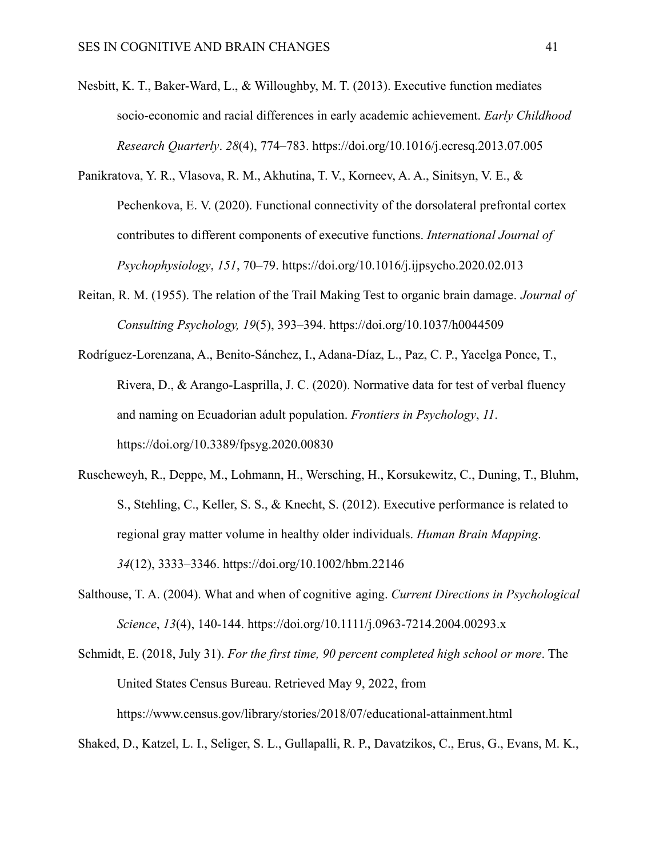- Nesbitt, K. T., Baker-Ward, L., & Willoughby, M. T. (2013). Executive function mediates socio-economic and racial differences in early academic achievement. *Early Childhood Research Quarterly*. *28*(4), 774–783. https://doi.org/10.1016/j.ecresq.2013.07.005
- Panikratova, Y. R., Vlasova, R. M., Akhutina, T. V., Korneev, A. A., Sinitsyn, V. E., & Pechenkova, E. V. (2020). Functional connectivity of the dorsolateral prefrontal cortex contributes to different components of executive functions. *International Journal of Psychophysiology*, *151*, 70–79. https://doi.org/10.1016/j.ijpsycho.2020.02.013
- Reitan, R. M. (1955). The relation of the Trail Making Test to organic brain damage. *Journal of Consulting Psychology, 19*(5), 393–394. [https://doi.org/10.1037/h0044509](https://psycnet.apa.org/doi/10.1037/h0044509)
- Rodríguez-Lorenzana, A., Benito-Sánchez, I., Adana-Díaz, L., Paz, C. P., Yacelga Ponce, T., Rivera, D., & Arango-Lasprilla, J. C. (2020). Normative data for test of verbal fluency and naming on Ecuadorian adult population. *Frontiers in Psychology*, *11*. https://doi.org/10.3389/fpsyg.2020.00830
- Ruscheweyh, R., Deppe, M., Lohmann, H., Wersching, H., Korsukewitz, C., Duning, T., Bluhm, S., Stehling, C., Keller, S. S., & Knecht, S. (2012). Executive performance is related to regional gray matter volume in healthy older individuals. *Human Brain Mapping*. *34*(12), 3333–3346. https://doi.org/10.1002/hbm.22146
- Salthouse, T. A. (2004). What and when of cognitive aging. *Current Directions in Psychological Science*, *13*(4), 140-144. https://doi.org/10.1111/j.0963-7214.2004.00293.x
- Schmidt, E. (2018, July 31). *For the first time, 90 percent completed high school or more*. The United States Census Bureau. Retrieved May 9, 2022, from https://www.census.gov/library/stories/2018/07/educational-attainment.html

Shaked, D., Katzel, L. I., Seliger, S. L., Gullapalli, R. P., Davatzikos, C., Erus, G., Evans, M. K.,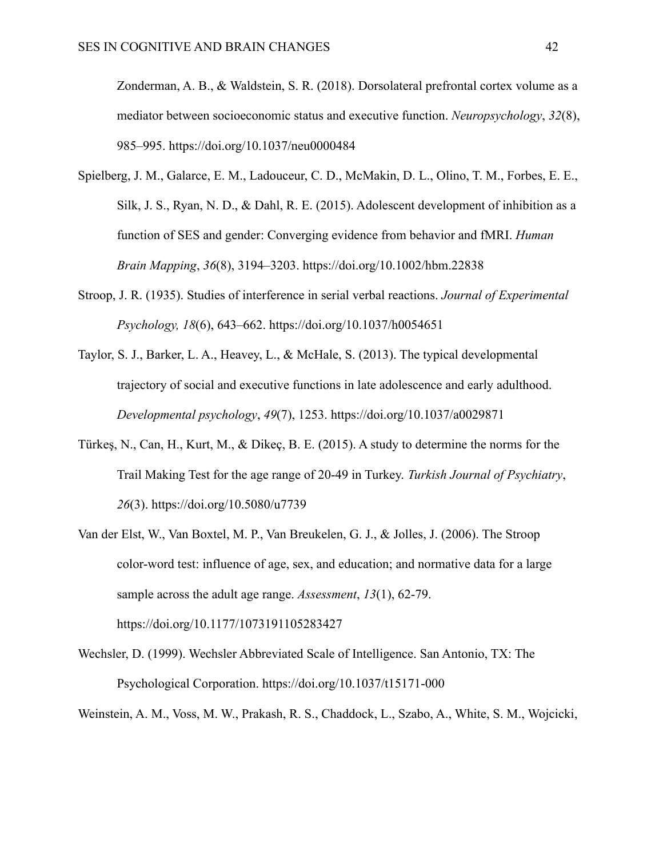Zonderman, A. B., & Waldstein, S. R. (2018). Dorsolateral prefrontal cortex volume as a mediator between socioeconomic status and executive function. *Neuropsychology*, *32*(8), 985–995. https://doi.org/10.1037/neu0000484

- Spielberg, J. M., Galarce, E. M., Ladouceur, C. D., McMakin, D. L., Olino, T. M., Forbes, E. E., Silk, J. S., Ryan, N. D., & Dahl, R. E. (2015). Adolescent development of inhibition as a function of SES and gender: Converging evidence from behavior and fMRI. *Human Brain Mapping*, *36*(8), 3194–3203. https://doi.org/10.1002/hbm.22838
- Stroop, J. R. (1935). Studies of interference in serial verbal reactions. *Journal of Experimental Psychology, 18*(6), 643–662. [https://doi.org/10.1037/h0054651](https://psycnet.apa.org/doi/10.1037/h0054651)
- Taylor, S. J., Barker, L. A., Heavey, L., & McHale, S. (2013). The typical developmental trajectory of social and executive functions in late adolescence and early adulthood. *Developmental psychology*, *49*(7), 1253. [https://doi.org/10.1037/a0029871](https://psycnet.apa.org/doi/10.1037/a0029871)
- Türkeş, N., Can, H., Kurt, M., & Dikeç, B. E. (2015). A study to determine the norms for the Trail Making Test for the age range of 20-49 in Turkey. *Turkish Journal of Psychiatry*, *26*(3). https://doi.org/10.5080/u7739
- Van der Elst, W., Van Boxtel, M. P., Van Breukelen, G. J., & Jolles, J. (2006). The Stroop color-word test: influence of age, sex, and education; and normative data for a large sample across the adult age range. *Assessment*, *13*(1), 62-79. https://doi.org/10.1177/1073191105283427
- Wechsler, D. (1999). Wechsler Abbreviated Scale of Intelligence. San Antonio, TX: The Psychological Corporation. https://doi.org/10.1037/t15171-000

Weinstein, A. M., Voss, M. W., Prakash, R. S., Chaddock, L., Szabo, A., White, S. M., Wojcicki,